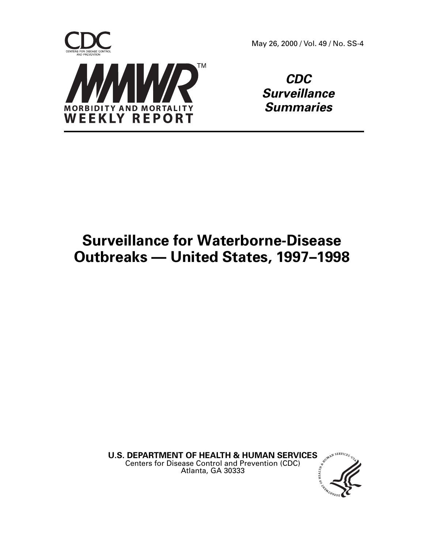

May 26, 2000 / Vol. 49 / No. SS-4

**CDC Surveillance Summaries**

# **Surveillance for Waterborne-Disease Outbreaks — United States, 1997–1998**

**U.S. DEPARTMENT OF HEALTH & HUMAN SERVICES** Centers for Disease Control and Prevention (CDC) Atlanta, GA 30333

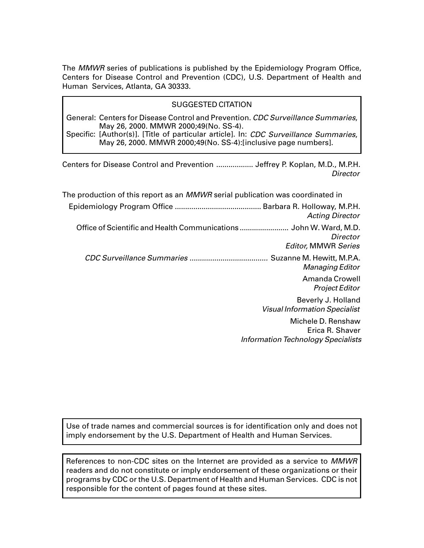The MMWR series of publications is published by the Epidemiology Program Office, Centers for Disease Control and Prevention (CDC), U.S. Department of Health and Human Services, Atlanta, GA 30333.

### SUGGESTED CITATION

General: Centers for Disease Control and Prevention. CDC Surveillance Summaries, May 26, 2000. MMWR 2000;49(No. SS-4).

Specific: [Author(s)]. [Title of particular article]. In: CDC Surveillance Summaries, May 26, 2000. MMWR 2000;49(No. SS-4):[inclusive page numbers].

Centers for Disease Control and Prevention .................. Jeffrey P. Koplan, M.D., M.P.H. **Director** 

| The production of this report as an <i>MMWR</i> serial publication was coordinated in                        |
|--------------------------------------------------------------------------------------------------------------|
| <b>Acting Director</b>                                                                                       |
| Office of Scientific and Health Communications  John W. Ward, M.D.<br>Director<br><b>Editor, MMWR Series</b> |
| Managing Editor                                                                                              |
| Amanda Crowell<br><b>Project Editor</b>                                                                      |
| Beverly J. Holland<br><b>Visual Information Specialist</b>                                                   |
| Michele D. Renshaw<br>Erica R. Shaver<br><b>Information Technology Specialists</b>                           |

Use of trade names and commercial sources is for identification only and does not imply endorsement by the U.S. Department of Health and Human Services.

References to non-CDC sites on the Internet are provided as a service to MMWR readers and do not constitute or imply endorsement of these organizations or their programs by CDC or the U.S. Department of Health and Human Services. CDC is not responsible for the content of pages found at these sites.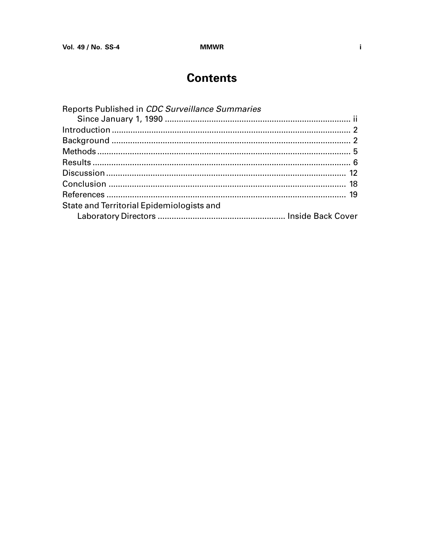## **Contents**

| Reports Published in CDC Surveillance Summaries |  |
|-------------------------------------------------|--|
|                                                 |  |
|                                                 |  |
|                                                 |  |
|                                                 |  |
|                                                 |  |
|                                                 |  |
|                                                 |  |
|                                                 |  |
| State and Territorial Epidemiologists and       |  |
|                                                 |  |
|                                                 |  |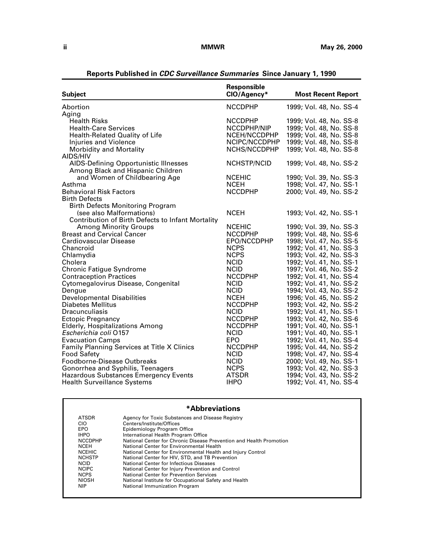<span id="page-3-0"></span>

| <b>Subject</b>                                    | Responsible<br>CIO/Agency* | <b>Most Recent Report</b> |
|---------------------------------------------------|----------------------------|---------------------------|
| Abortion                                          | <b>NCCDPHP</b>             | 1999; Vol. 48, No. SS-4   |
| Aging                                             |                            |                           |
| <b>Health Risks</b>                               | <b>NCCDPHP</b>             | 1999, Vol. 48, No. SS-8   |
| <b>Health-Care Services</b>                       | NCCDPHP/NIP                | 1999; Vol. 48, No. SS-8   |
| Health-Related Quality of Life                    | NCEH/NCCDPHP               | 1999; Vol. 48, No. SS-8   |
| Injuries and Violence                             | NCIPC/NCCDPHP              | 1999; Vol. 48, No. SS-8   |
| Morbidity and Mortality                           | NCHS/NCCDPHP               | 1999; Vol. 48, No. SS-8   |
| AIDS/HIV                                          |                            |                           |
| AIDS-Defining Opportunistic Illnesses             | NCHSTP/NCID                | 1999; Vol. 48, No. SS-2   |
| Among Black and Hispanic Children                 |                            |                           |
| and Women of Childbearing Age                     | <b>NCEHIC</b>              | 1990; Vol. 39, No. SS-3   |
| Asthma                                            | <b>NCEH</b>                | 1998; Vol. 47, No. SS-1   |
| <b>Behavioral Risk Factors</b>                    | <b>NCCDPHP</b>             | 2000; Vol. 49, No. SS-2   |
| <b>Birth Defects</b>                              |                            |                           |
| <b>Birth Defects Monitoring Program</b>           |                            |                           |
| (see also Malformations)                          | <b>NCEH</b>                | 1993; Vol. 42, No. SS-1   |
| Contribution of Birth Defects to Infant Mortality |                            |                           |
| <b>Among Minority Groups</b>                      | <b>NCEHIC</b>              | 1990; Vol. 39, No. SS-3   |
| <b>Breast and Cervical Cancer</b>                 | <b>NCCDPHP</b>             | 1999; Vol. 48, No. SS-6   |
| Cardiovascular Disease                            | EPO/NCCDPHP                | 1998; Vol. 47, No. SS-5   |
| Chancroid                                         | <b>NCPS</b>                | 1992; Vol. 41, No. SS-3   |
| Chlamydia                                         | <b>NCPS</b>                | 1993; Vol. 42, No. SS-3   |
| Cholera                                           | <b>NCID</b>                | 1992; Vol. 41, No. SS-1   |
| <b>Chronic Fatigue Syndrome</b>                   | <b>NCID</b>                | 1997; Vol. 46, No. SS-2   |
| <b>Contraception Practices</b>                    | <b>NCCDPHP</b>             | 1992; Vol. 41, No. SS-4   |
| Cytomegalovirus Disease, Congenital               | <b>NCID</b>                | 1992; Vol. 41, No. SS-2   |
| Dengue                                            | <b>NCID</b>                | 1994; Vol. 43, No. SS-2   |
| <b>Developmental Disabilities</b>                 | <b>NCEH</b>                | 1996; Vol. 45, No. SS-2   |
| <b>Diabetes Mellitus</b>                          | <b>NCCDPHP</b>             | 1993; Vol. 42, No. SS-2   |
| <b>Dracunculiasis</b>                             | <b>NCID</b>                | 1992; Vol. 41, No. SS-1   |
| <b>Ectopic Pregnancy</b>                          | <b>NCCDPHP</b>             | 1993; Vol. 42, No. SS-6   |
| <b>Elderly, Hospitalizations Among</b>            | <b>NCCDPHP</b>             | 1991; Vol. 40, No. SS-1   |
| Escherichia coli 0157                             | <b>NCID</b>                | 1991; Vol. 40, No. SS-1   |
| <b>Evacuation Camps</b>                           | EPO                        | 1992; Vol. 41, No. SS-4   |
| Family Planning Services at Title X Clinics       | <b>NCCDPHP</b>             | 1995; Vol. 44, No. SS-2   |
| <b>Food Safety</b>                                | <b>NCID</b>                | 1998, Vol. 47, No. SS-4   |
| Foodborne-Disease Outbreaks                       | <b>NCID</b>                | 2000; Vol. 49, No. SS-1   |
| Gonorrhea and Syphilis, Teenagers                 | <b>NCPS</b>                | 1993; Vol. 42, No. SS-3   |
| <b>Hazardous Substances Emergency Events</b>      | <b>ATSDR</b>               | 1994; Vol. 43, No. SS-2   |
| <b>Health Surveillance Systems</b>                | <b>IHPO</b>                | 1992; Vol. 41, No. SS-4   |

**Reports Published in CDC Surveillance Summaries Since January 1, 1990**

### **\*Abbreviations**

| <b>ATSDR</b>   | Agency for Toxic Substances and Disease Registry                    |
|----------------|---------------------------------------------------------------------|
| CIO            | Centers/Institute/Offices                                           |
| EPO            | Epidemiology Program Office                                         |
| <b>IHPO</b>    | International Health Program Office                                 |
| <b>NCCDPHP</b> | National Center for Chronic Disease Prevention and Health Promotion |
| <b>NCEH</b>    | National Center for Environmental Health                            |
| <b>NCEHIC</b>  | National Center for Environmental Health and Injury Control         |
| <b>NCHSTP</b>  | National Center for HIV, STD, and TB Prevention                     |
| <b>NCID</b>    | National Center for Infectious Diseases                             |
| <b>NCIPC</b>   | National Center for Injury Prevention and Control                   |
| <b>NCPS</b>    | National Center for Prevention Services                             |
| <b>NIOSH</b>   | National Institute for Occupational Safety and Health               |
| <b>NIP</b>     | National Immunization Program                                       |
|                |                                                                     |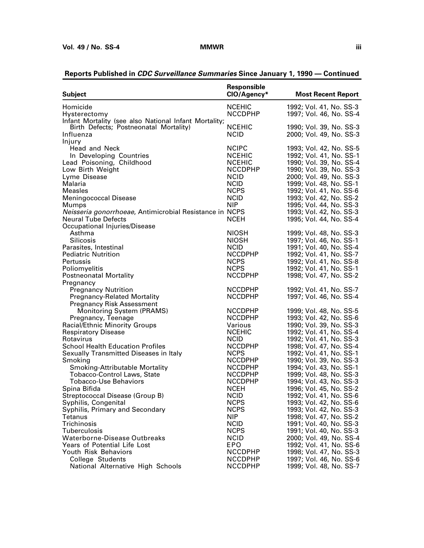| <b>Subject</b>                                          | <b>Responsible</b><br>CIO/Agency* | <b>Most Recent Report</b>                          |
|---------------------------------------------------------|-----------------------------------|----------------------------------------------------|
| Homicide                                                | <b>NCEHIC</b>                     | 1992; Vol. 41, No. SS-3                            |
| Hysterectomy                                            | <b>NCCDPHP</b>                    | 1997; Vol. 46, No. SS-4                            |
| Infant Mortality (see also National Infant Mortality;   |                                   |                                                    |
| Birth Defects; Postneonatal Mortality)                  | <b>NCEHIC</b>                     | 1990; Vol. 39, No. SS-3                            |
| Influenza                                               | <b>NCID</b>                       | 2000; Vol. 49, No. SS-3                            |
| Injury                                                  |                                   |                                                    |
| Head and Neck                                           | <b>NCIPC</b>                      | 1993; Vol. 42, No. SS-5                            |
| In Developing Countries                                 | <b>NCEHIC</b>                     | 1992; Vol. 41, No. SS-1                            |
| Lead Poisoning, Childhood                               | <b>NCEHIC</b>                     | 1990; Vol. 39, No. SS-4                            |
| Low Birth Weight                                        | <b>NCCDPHP</b>                    | 1990; Vol. 39, No. SS-3                            |
| Lyme Disease                                            | <b>NCID</b>                       | 2000; Vol. 49, No. SS-3                            |
| Malaria                                                 | <b>NCID</b>                       | 1999; Vol. 48, No. SS-1                            |
| <b>Measles</b>                                          | <b>NCPS</b>                       | 1992; Vol. 41, No. SS-6                            |
| <b>Meningococcal Disease</b>                            | <b>NCID</b>                       | 1993; Vol. 42, No. SS-2                            |
| Mumps                                                   | <b>NIP</b>                        | 1995; Vol. 44, No. SS-3                            |
| Neisseria gonorrhoeae, Antimicrobial Resistance in NCPS |                                   | 1993; Vol. 42, No. SS-3                            |
| <b>Neural Tube Defects</b>                              | <b>NCEH</b>                       | 1995; Vol. 44, No. SS-4                            |
| Occupational Injuries/Disease                           |                                   |                                                    |
| Asthma                                                  | <b>NIOSH</b>                      | 1999; Vol. 48, No. SS-3                            |
| <b>Silicosis</b>                                        | NIOSH                             | 1997; Vol. 46, No. SS-1                            |
| Parasites, Intestinal                                   | <b>NCID</b>                       | 1991; Vol. 40, No. SS-4                            |
| <b>Pediatric Nutrition</b>                              | <b>NCCDPHP</b>                    | 1992; Vol. 41, No. SS-7                            |
| Pertussis                                               | <b>NCPS</b>                       | 1992; Vol. 41, No. SS-8                            |
| Poliomyelitis                                           | <b>NCPS</b>                       | 1992; Vol. 41, No. SS-1                            |
| <b>Postneonatal Mortality</b>                           | <b>NCCDPHP</b>                    | 1998; Vol. 47, No. SS-2                            |
| Pregnancy                                               |                                   |                                                    |
| <b>Pregnancy Nutrition</b>                              | <b>NCCDPHP</b>                    | 1992; Vol. 41, No. SS-7                            |
| <b>Pregnancy-Related Mortality</b>                      | <b>NCCDPHP</b>                    | 1997; Vol. 46, No. SS-4                            |
| <b>Pregnancy Risk Assessment</b>                        |                                   |                                                    |
| <b>Monitoring System (PRAMS)</b>                        | <b>NCCDPHP</b>                    | 1999; Vol. 48, No. SS-5                            |
| Pregnancy, Teenage                                      | <b>NCCDPHP</b>                    | 1993; Vol. 42, No. SS-6                            |
| <b>Racial/Ethnic Minority Groups</b>                    | Various                           | 1990; Vol. 39, No. SS-3                            |
| <b>Respiratory Disease</b>                              | <b>NCEHIC</b>                     | 1992; Vol. 41, No. SS-4                            |
| Rotavirus                                               | <b>NCID</b>                       | 1992; Vol. 41, No. SS-3                            |
| <b>School Health Education Profiles</b>                 | <b>NCCDPHP</b>                    | 1998; Vol. 47, No. SS-4                            |
| Sexually Transmitted Diseases in Italy                  | <b>NCPS</b>                       | 1992; Vol. 41, No. SS-1                            |
| Smoking                                                 | <b>NCCDPHP</b>                    | 1990; Vol. 39, No. SS-3                            |
| <b>Smoking-Attributable Mortality</b>                   | <b>NCCDPHP</b>                    | 1994; Vol. 43, No. SS-1                            |
| <b>Tobacco-Control Laws, State</b>                      | <b>NCCDPHP</b>                    | 1999; Vol. 48, No. SS-3                            |
| <b>Tobacco-Use Behaviors</b>                            | <b>NCCDPHP</b>                    | 1994; Vol. 43, No. SS-3                            |
| Spina Bifida                                            | <b>NCEH</b>                       | 1996; Vol. 45, No. SS-2                            |
| Streptococcal Disease (Group B)                         | <b>NCID</b>                       | 1992; Vol. 41, No. SS-6                            |
| Syphilis, Congenital                                    | <b>NCPS</b>                       | 1993; Vol. 42, No. SS-6                            |
| Syphilis, Primary and Secondary                         | <b>NCPS</b>                       | 1993; Vol. 42, No. SS-3                            |
| Tetanus                                                 | NIP                               | 1998; Vol. 47, No. SS-2                            |
| Trichinosis                                             | <b>NCID</b>                       | 1991; Vol. 40, No. SS-3                            |
| Tuberculosis                                            | <b>NCPS</b>                       | 1991; Vol. 40, No. SS-3                            |
| Waterborne-Disease Outbreaks                            | <b>NCID</b>                       | 2000; Vol. 49, No. SS-4                            |
| Years of Potential Life Lost                            | EPO                               | 1992; Vol. 41, No. SS-6                            |
| Youth Risk Behaviors<br>College Students                | <b>NCCDPHP</b>                    | 1998; Vol. 47, No. SS-3<br>1997; Vol. 46, No. SS-6 |
| National Alternative High Schools                       | <b>NCCDPHP</b><br><b>NCCDPHP</b>  | 1999; Vol. 48, No. SS-7                            |
|                                                         |                                   |                                                    |

### **Reports Published in CDC Surveillance Summaries Since January 1, 1990 — Continued**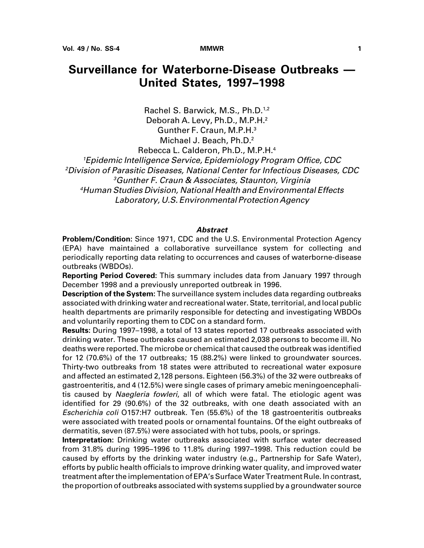## **Surveillance for Waterborne-Disease Outbreaks — United States, 1997–1998**

Rachel S. Barwick, M.S., Ph.D.<sup>1,2</sup> Deborah A. Levy, Ph.D., M.P.H.2 Gunther F. Craun, M.P.H.3 Michael J. Beach, Ph.D.2 Rebecca L. Calderon, Ph.D., M.P.H.4

Epidemic Intelligence Service, Epidemiology Program Office, CDC Division of Parasitic Diseases, National Center for Infectious Diseases, CDC Gunther F. Craun & Associates, Staunton, Virginia Human Studies Division, National Health and Environmental Effects Laboratory, U.S. Environmental Protection Agency

#### **Abstract**

**Problem/Condition:** Since 1971, CDC and the U.S. Environmental Protection Agency (EPA) have maintained a collaborative surveillance system for collecting and periodically reporting data relating to occurrences and causes of waterborne-disease outbreaks (WBDOs).

**Reporting Period Covered:** This summary includes data from January 1997 through December 1998 and a previously unreported outbreak in 1996.

**Description of the System:** The surveillance system includes data regarding outbreaks associated with drinking water and recreational water. State, territorial, and local public health departments are primarily responsible for detecting and investigating WBDOs and voluntarily reporting them to CDC on a standard form.

**Results:** During 1997–1998, a total of 13 states reported 17 outbreaks associated with drinking water. These outbreaks caused an estimated 2,038 persons to become ill. No deaths were reported. The microbe or chemical that caused the outbreak was identified for 12 (70.6%) of the 17 outbreaks; 15 (88.2%) were linked to groundwater sources. Thirty-two outbreaks from 18 states were attributed to recreational water exposure and affected an estimated 2,128 persons. Eighteen (56.3%) of the 32 were outbreaks of gastroenteritis, and 4 (12.5%) were single cases of primary amebic meningoencephalitis caused by Naegleria fowleri, all of which were fatal. The etiologic agent was identified for 29 (90.6%) of the 32 outbreaks, with one death associated with an Escherichia coli O157:H7 outbreak. Ten (55.6%) of the 18 gastroenteritis outbreaks were associated with treated pools or ornamental fountains. Of the eight outbreaks of dermatitis, seven (87.5%) were associated with hot tubs, pools, or springs.

**Interpretation:** Drinking water outbreaks associated with surface water decreased from 31.8% during 1995–1996 to 11.8% during 1997–1998. This reduction could be caused by efforts by the drinking water industry (e.g., Partnership for Safe Water), efforts by public health officials to improve drinking water quality, and improved water treatment after the implementation of EPA's Surface Water Treatment Rule. In contrast, the proportion of outbreaks associated with systems supplied by a groundwater source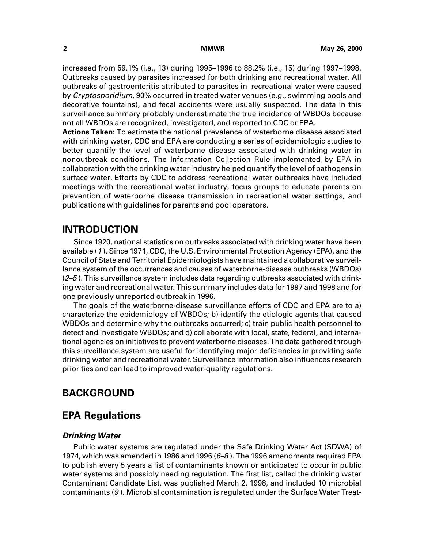<span id="page-7-0"></span>increased from 59.1% (i.e., 13) during 1995–1996 to 88.2% (i.e., 15) during 1997–1998. Outbreaks caused by parasites increased for both drinking and recreational water. All outbreaks of gastroenteritis attributed to parasites in recreational water were caused by Cryptosporidium, 90% occurred in treated water venues (e.g., swimming pools and decorative fountains), and fecal accidents were usually suspected. The data in this surveillance summary probably underestimate the true incidence of WBDOs because not all WBDOs are recognized, investigated, and reported to CDC or EPA.

**Actions Taken:** To estimate the national prevalence of waterborne disease associated with drinking water, CDC and EPA are conducting a series of epidemiologic studies to better quantify the level of waterborne disease associated with drinking water in nonoutbreak conditions. The Information Collection Rule implemented by EPA in collaboration with the drinking water industry helped quantify the level of pathogens in surface water. Efforts by CDC to address recreational water outbreaks have included meetings with the recreational water industry, focus groups to educate parents on prevention of waterborne disease transmission in recreational water settings, and publications with guidelines for parents and pool operators.

### **INTRODUCTION**

Since 1920, national statistics on outbreaks associated with drinking water have been available (<sup>1</sup> ). Since 1971, CDC, the U.S. Environmental Protection Agency (EPA), and the Council of State and Territorial Epidemiologists have maintained a collaborative surveillance system of the occurrences and causes of waterborne-disease outbreaks (WBDOs)  $(2-5)$ . This surveillance system includes data regarding outbreaks associated with drinking water and recreational water. This summary includes data for 1997 and 1998 and for one previously unreported outbreak in 1996.

The goals of the waterborne-disease surveillance efforts of CDC and EPA are to a) characterize the epidemiology of WBDOs; b) identify the etiologic agents that caused WBDOs and determine why the outbreaks occurred; c) train public health personnel to detect and investigate WBDOs; and d) collaborate with local, state, federal, and international agencies on initiatives to prevent waterborne diseases. The data gathered through this surveillance system are useful for identifying major deficiencies in providing safe drinking water and recreational water. Surveillance information also influences research priorities and can lead to improved water-quality regulations.

### **BACKGROUND**

### **EPA Regulations**

### **Drinking Water**

Public water systems are regulated under the Safe Drinking Water Act (SDWA) of 1974, which was amended in 1986 and 1996 (6–8 ). The 1996 amendments required EPA to publish every 5 years a list of contaminants known or anticipated to occur in public water systems and possibly needing regulation. The first list, called the drinking water Contaminant Candidate List, was published March 2, 1998, and included 10 microbial contaminants (9 ). Microbial contamination is regulated under the Surface Water Treat-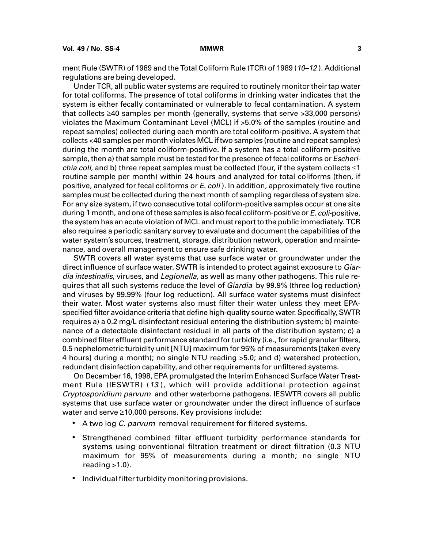ment Rule (SWTR) of 1989 and the Total Coliform Rule (TCR) of 1989 (10-12). Additional regulations are being developed.

Under TCR, all public water systems are required to routinely monitor their tap water for total coliforms. The presence of total coliforms in drinking water indicates that the system is either fecally contaminated or vulnerable to fecal contamination. A system that collects  $\geq 40$  samples per month (generally, systems that serve  $> 33,000$  persons) violates the Maximum Contaminant Level (MCL) if >5.0% of the samples (routine and repeat samples) collected during each month are total coliform-positive. A system that collects <40 samples per month violates MCL if two samples (routine and repeat samples) during the month are total coliform-positive. If a system has a total coliform-positive sample, then a) that sample must be tested for the presence of fecal coliforms or *Escherichia coli,* and b) three repeat samples must be collected (four, if the system collects  $\leq$ 1 routine sample per month) within 24 hours and analyzed for total coliforms (then, if positive, analyzed for fecal coliforms or E. coli). In addition, approximately five routine samples must be collected during the next month of sampling regardless of system size. For any size system, if two consecutive total coliform-positive samples occur at one site during 1 month, and one of these samples is also fecal coliform-positive or E. coli-positive, the system has an acute violation of MCL and must report to the public immediately. TCR also requires a periodic sanitary survey to evaluate and document the capabilities of the water system's sources, treatment, storage, distribution network, operation and maintenance, and overall management to ensure safe drinking water.

SWTR covers all water systems that use surface water or groundwater under the direct influence of surface water. SWTR is intended to protect against exposure to Giardia intestinalis, viruses, and Legionella, as well as many other pathogens. This rule requires that all such systems reduce the level of Giardia by 99.9% (three log reduction) and viruses by 99.99% (four log reduction). All surface water systems must disinfect their water. Most water systems also must filter their water unless they meet EPAspecified filter avoidance criteria that define high-quality source water. Specifically, SWTR requires a) a 0.2 mg/L disinfectant residual entering the distribution system; b) maintenance of a detectable disinfectant residual in all parts of the distribution system; c) a combined filter effluent performance standard for turbidity (i.e., for rapid granular filters, 0.5 nephelometric turbidity unit [NTU] maximum for 95% of measurements [taken every 4 hours] during a month); no single NTU reading >5.0; and d) watershed protection, redundant disinfection capability, and other requirements for unfiltered systems.

On December 16, 1998, EPA promulgated the Interim Enhanced Surface Water Treatment Rule (IESWTR) (13 ), which will provide additional protection against Cryptosporidium parvum and other waterborne pathogens. IESWTR covers all public systems that use surface water or groundwater under the direct influence of surface water and serve  $\geq 10,000$  persons. Key provisions include:

- A two log C. parvum removal requirement for filtered systems.
- Strengthened combined filter effluent turbidity performance standards for systems using conventional filtration treatment or direct filtration (0.3 NTU maximum for 95% of measurements during a month; no single NTU reading  $>1.0$ ).
- Individual filter turbidity monitoring provisions.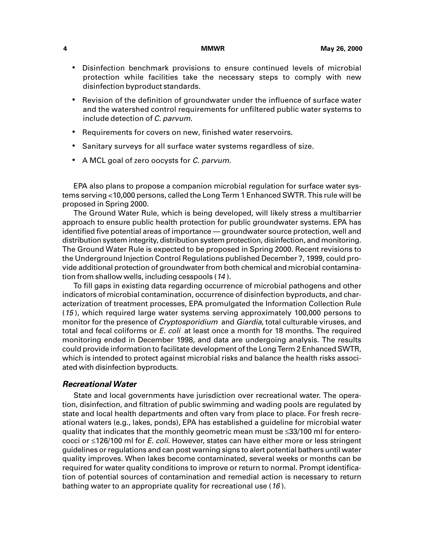- Disinfection benchmark provisions to ensure continued levels of microbial protection while facilities take the necessary steps to comply with new disinfection byproduct standards.
- Revision of the definition of groundwater under the influence of surface water and the watershed control requirements for unfiltered public water systems to include detection of C. parvum.
- Requirements for covers on new, finished water reservoirs.
- Sanitary surveys for all surface water systems regardless of size.
- A MCL goal of zero oocysts for C. parvum.

EPA also plans to propose a companion microbial regulation for surface water systems serving <10,000 persons, called the Long Term 1 Enhanced SWTR. This rule will be proposed in Spring 2000.

The Ground Water Rule, which is being developed, will likely stress a multibarrier approach to ensure public health protection for public groundwater systems. EPA has identified five potential areas of importance — groundwater source protection, well and distribution system integrity, distribution system protection, disinfection, and monitoring. The Ground Water Rule is expected to be proposed in Spring 2000. Recent revisions to the Underground Injection Control Regulations published December 7, 1999, could provide additional protection of groundwater from both chemical and microbial contamination from shallow wells, including cesspools (<sup>14</sup> ).

To fill gaps in existing data regarding occurrence of microbial pathogens and other indicators of microbial contamination, occurrence of disinfection byproducts, and characterization of treatment processes, EPA promulgated the Information Collection Rule (15 ), which required large water systems serving approximately 100,000 persons to monitor for the presence of *Cryptosporidium* and *Giardia*, total culturable viruses, and total and fecal coliforms or E. coli at least once a month for 18 months. The required monitoring ended in December 1998, and data are undergoing analysis. The results could provide information to facilitate development of the Long Term 2 Enhanced SWTR, which is intended to protect against microbial risks and balance the health risks associated with disinfection byproducts.

### **Recreational Water**

State and local governments have jurisdiction over recreational water. The operation, disinfection, and filtration of public swimming and wading pools are regulated by state and local health departments and often vary from place to place. For fresh recreational waters (e.g., lakes, ponds), EPA has established a guideline for microbial water quality that indicates that the monthly geometric mean must be <33/100 ml for enterococci or <126/100 ml for E. coli. However, states can have either more or less stringent guidelines or regulations and can post warning signs to alert potential bathers until water quality improves. When lakes become contaminated, several weeks or months can be required for water quality conditions to improve or return to normal. Prompt identification of potential sources of contamination and remedial action is necessary to return bathing water to an appropriate quality for recreational use (16 ).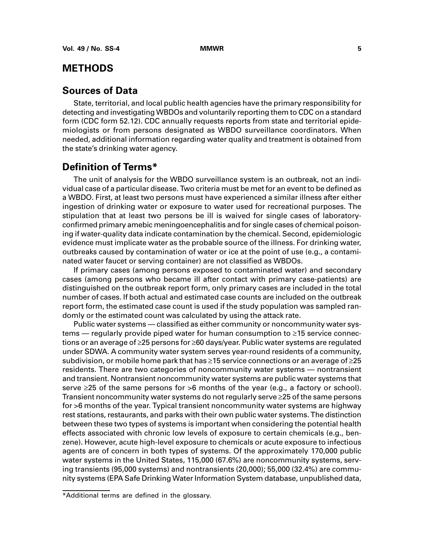### <span id="page-10-0"></span>**METHODS**

### **Sources of Data**

State, territorial, and local public health agencies have the primary responsibility for detecting and investigating WBDOs and voluntarily reporting them to CDC on a standard form (CDC form 52.12). CDC annually requests reports from state and territorial epidemiologists or from persons designated as WBDO surveillance coordinators. When needed, additional information regarding water quality and treatment is obtained from the state's drinking water agency.

### **Definition of Terms\***

The unit of analysis for the WBDO surveillance system is an outbreak, not an individual case of a particular disease. Two criteria must be met for an event to be defined as a WBDO. First, at least two persons must have experienced a similar illness after either ingestion of drinking water or exposure to water used for recreational purposes. The stipulation that at least two persons be ill is waived for single cases of laboratoryconfirmed primary amebic meningoencephalitis and for single cases of chemical poisoning if water-quality data indicate contamination by the chemical. Second, epidemiologic evidence must implicate water as the probable source of the illness. For drinking water, outbreaks caused by contamination of water or ice at the point of use (e.g., a contaminated water faucet or serving container) are not classified as WBDOs.

If primary cases (among persons exposed to contaminated water) and secondary cases (among persons who became ill after contact with primary case-patients) are distinguished on the outbreak report form, only primary cases are included in the total number of cases. If both actual and estimated case counts are included on the outbreak report form, the estimated case count is used if the study population was sampled randomly or the estimated count was calculated by using the attack rate.

Public water systems — classified as either community or noncommunity water sys $tems$  — regularly provide piped water for human consumption to  $\geq 15$  service connections or an average of  $\geq$ 25 persons for  $\geq$ 60 days/year. Public water systems are regulated under SDWA. A community water system serves year-round residents of a community, subdivision, or mobile home park that has  $\geq$  15 service connections or an average of  $\geq$  25 residents. There are two categories of noncommunity water systems — nontransient and transient. Nontransient noncommunity water systems are public water systems that serve  $\geq$ 25 of the same persons for  $>$ 6 months of the year (e.g., a factory or school). Transient noncommunity water systems do not regularly serve 25 of the same persons for >6 months of the year. Typical transient noncommunity water systems are highway rest stations, restaurants, and parks with their own public water systems. The distinction between these two types of systems is important when considering the potential health effects associated with chronic low levels of exposure to certain chemicals (e.g., benzene). However, acute high-level exposure to chemicals or acute exposure to infectious agents are of concern in both types of systems. Of the approximately 170,000 public water systems in the United States, 115,000 (67.6%) are noncommunity systems, serving transients (95,000 systems) and nontransients (20,000); 55,000 (32.4%) are community systems (EPA Safe Drinking Water Information System database, unpublished data,

<sup>\*</sup>Additional terms are defined in the glossary.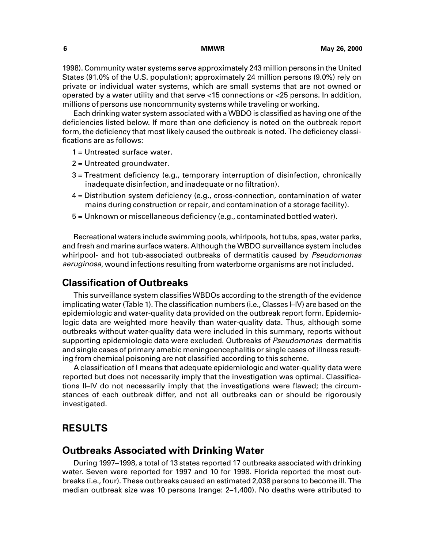<span id="page-11-0"></span>1998). Community water systems serve approximately 243 million persons in the United States (91.0% of the U.S. population); approximately 24 million persons (9.0%) rely on private or individual water systems, which are small systems that are not owned or operated by a water utility and that serve <15 connections or <25 persons. In addition, millions of persons use noncommunity systems while traveling or working.

Each drinking water system associated with a WBDO is classified as having one of the deficiencies listed below. If more than one deficiency is noted on the outbreak report form, the deficiency that most likely caused the outbreak is noted. The deficiency classifications are as follows:

1 = Untreated surface water.

- 2 = Untreated groundwater.
- 3 = Treatment deficiency (e.g., temporary interruption of disinfection, chronically inadequate disinfection, and inadequate or no filtration).
- 4 = Distribution system deficiency (e.g., cross-connection, contamination of water mains during construction or repair, and contamination of a storage facility).
- 5 = Unknown or miscellaneous deficiency (e.g., contaminated bottled water).

Recreational waters include swimming pools, whirlpools, hot tubs, spas, water parks, and fresh and marine surface waters. Although the WBDO surveillance system includes whirlpool- and hot tub-associated outbreaks of dermatitis caused by Pseudomonas aeruginosa, wound infections resulting from waterborne organisms are not included.

### **Classification of Outbreaks**

This surveillance system classifies WBDOs according to the strength of the evidence implicating water (Table 1). The classification numbers (i.e., Classes I–IV) are based on the epidemiologic and water-quality data provided on the outbreak report form. Epidemiologic data are weighted more heavily than water-quality data. Thus, although some outbreaks without water-quality data were included in this summary, reports without supporting epidemiologic data were excluded. Outbreaks of *Pseudomonas* dermatitis and single cases of primary amebic meningoencephalitis or single cases of illness resulting from chemical poisoning are not classified according to this scheme.

A classification of I means that adequate epidemiologic and water-quality data were reported but does not necessarily imply that the investigation was optimal. Classifications II–IV do not necessarily imply that the investigations were flawed; the circumstances of each outbreak differ, and not all outbreaks can or should be rigorously investigated.

### **RESULTS**

### **Outbreaks Associated with Drinking Water**

During 1997–1998, a total of 13 states reported 17 outbreaks associated with drinking water. Seven were reported for 1997 and 10 for 1998. Florida reported the most outbreaks (i.e., four). These outbreaks caused an estimated 2,038 persons to become ill. The median outbreak size was 10 persons (range: 2–1,400). No deaths were attributed to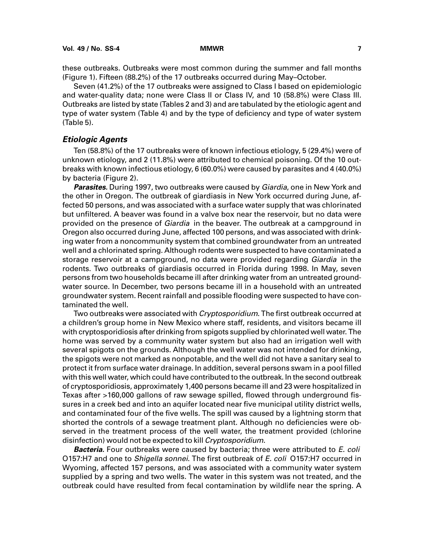these outbreaks. Outbreaks were most common during the summer and fall months (Figure 1). Fifteen (88.2%) of the 17 outbreaks occurred during May–October.

Seven (41.2%) of the 17 outbreaks were assigned to Class I based on epidemiologic and water-quality data; none were Class II or Class IV, and 10 (58.8%) were Class III. Outbreaks are listed by state (Tables 2 and 3) and are tabulated by the etiologic agent and type of water system (Table 4) and by the type of deficiency and type of water system (Table 5).

#### **Etiologic Agents**

Ten (58.8%) of the 17 outbreaks were of known infectious etiology, 5 (29.4%) were of unknown etiology, and 2 (11.8%) were attributed to chemical poisoning. Of the 10 outbreaks with known infectious etiology, 6 (60.0%) were caused by parasites and 4 (40.0%) by bacteria (Figure 2).

**Parasites.** During 1997, two outbreaks were caused by Giardia, one in New York and the other in Oregon. The outbreak of giardiasis in New York occurred during June, affected 50 persons, and was associated with a surface water supply that was chlorinated but unfiltered. A beaver was found in a valve box near the reservoir, but no data were provided on the presence of *Giardia* in the beaver. The outbreak at a campground in Oregon also occurred during June, affected 100 persons, and was associated with drinking water from a noncommunity system that combined groundwater from an untreated well and a chlorinated spring. Although rodents were suspected to have contaminated a storage reservoir at a campground, no data were provided regarding *Giardia* in the rodents. Two outbreaks of giardiasis occurred in Florida during 1998. In May, seven persons from two households became ill after drinking water from an untreated groundwater source. In December, two persons became ill in a household with an untreated groundwater system. Recent rainfall and possible flooding were suspected to have contaminated the well.

Two outbreaks were associated with *Cryptosporidium*. The first outbreak occurred at a children's group home in New Mexico where staff, residents, and visitors became ill with cryptosporidiosis after drinking from spigots supplied by chlorinated well water. The home was served by a community water system but also had an irrigation well with several spigots on the grounds. Although the well water was not intended for drinking, the spigots were not marked as nonpotable, and the well did not have a sanitary seal to protect it from surface water drainage. In addition, several persons swam in a pool filled with this well water, which could have contributed to the outbreak. In the second outbreak of cryptosporidiosis, approximately 1,400 persons became ill and 23 were hospitalized in Texas after >160,000 gallons of raw sewage spilled, flowed through underground fissures in a creek bed and into an aquifer located near five municipal utility district wells, and contaminated four of the five wells. The spill was caused by a lightning storm that shorted the controls of a sewage treatment plant. Although no deficiencies were observed in the treatment process of the well water, the treatment provided (chlorine disinfection) would not be expected to kill *Cryptosporidium*.

**Bacteria.** Four outbreaks were caused by bacteria; three were attributed to E. coli O157:H7 and one to *Shigella sonnei*. The first outbreak of *E. coli* O157:H7 occurred in Wyoming, affected 157 persons, and was associated with a community water system supplied by a spring and two wells. The water in this system was not treated, and the outbreak could have resulted from fecal contamination by wildlife near the spring. A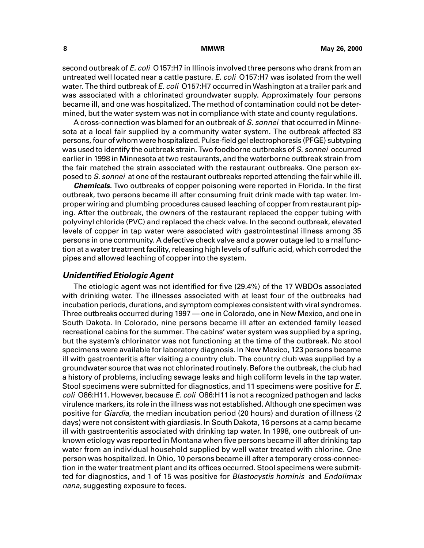second outbreak of E. coli O157:H7 in Illinois involved three persons who drank from an untreated well located near a cattle pasture. E. coli O157:H7 was isolated from the well water. The third outbreak of E. coli O157:H7 occurred in Washington at a trailer park and was associated with a chlorinated groundwater supply. Approximately four persons became ill, and one was hospitalized. The method of contamination could not be determined, but the water system was not in compliance with state and county regulations.

A cross-connection was blamed for an outbreak of S. sonnei that occurred in Minnesota at a local fair supplied by a community water system. The outbreak affected 83 persons, four of whom were hospitalized. Pulse-field gel electrophoresis (PFGE) subtyping was used to identify the outbreak strain. Two foodborne outbreaks of S. sonnei occurred earlier in 1998 in Minnesota at two restaurants, and the waterborne outbreak strain from the fair matched the strain associated with the restaurant outbreaks. One person exposed to S, sonnei at one of the restaurant outbreaks reported attending the fair while ill.

**Chemicals.** Two outbreaks of copper poisoning were reported in Florida. In the first outbreak, two persons became ill after consuming fruit drink made with tap water. Improper wiring and plumbing procedures caused leaching of copper from restaurant piping. After the outbreak, the owners of the restaurant replaced the copper tubing with polyvinyl chloride (PVC) and replaced the check valve. In the second outbreak, elevated levels of copper in tap water were associated with gastrointestinal illness among 35 persons in one community. A defective check valve and a power outage led to a malfunction at a water treatment facility, releasing high levels of sulfuric acid, which corroded the pipes and allowed leaching of copper into the system.

#### **Unidentified Etiologic Agent**

The etiologic agent was not identified for five (29.4%) of the 17 WBDOs associated with drinking water. The illnesses associated with at least four of the outbreaks had incubation periods, durations, and symptom complexes consistent with viral syndromes. Three outbreaks occurred during 1997 — one in Colorado, one in New Mexico, and one in South Dakota. In Colorado, nine persons became ill after an extended family leased recreational cabins for the summer. The cabins' water system was supplied by a spring, but the system's chlorinator was not functioning at the time of the outbreak. No stool specimens were available for laboratory diagnosis. In New Mexico, 123 persons became ill with gastroenteritis after visiting a country club. The country club was supplied by a groundwater source that was not chlorinated routinely. Before the outbreak, the club had a history of problems, including sewage leaks and high coliform levels in the tap water. Stool specimens were submitted for diagnostics, and 11 specimens were positive for E. coli O86:H11. However, because E. coli O86:H11 is not a recognized pathogen and lacks virulence markers, its role in the illness was not established. Although one specimen was positive for Giardia, the median incubation period (20 hours) and duration of illness (2 days) were not consistent with giardiasis. In South Dakota, 16 persons at a camp became ill with gastroenteritis associated with drinking tap water. In 1998, one outbreak of unknown etiology was reported in Montana when five persons became ill after drinking tap water from an individual household supplied by well water treated with chlorine. One person was hospitalized. In Ohio, 10 persons became ill after a temporary cross-connection in the water treatment plant and its offices occurred. Stool specimens were submitted for diagnostics, and 1 of 15 was positive for *Blastocystis hominis* and *Endolimax* nana, suggesting exposure to feces.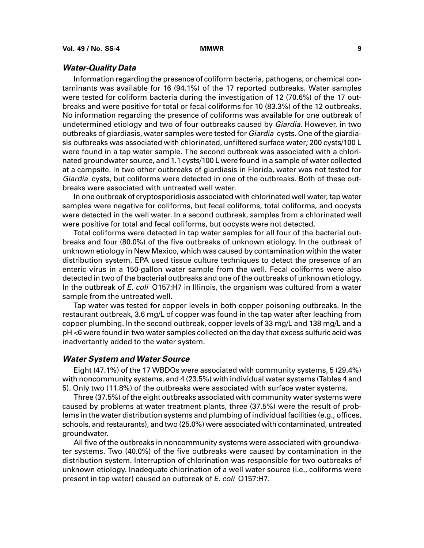#### **Water-Quality Data**

Information regarding the presence of coliform bacteria, pathogens, or chemical contaminants was available for 16 (94.1%) of the 17 reported outbreaks. Water samples were tested for coliform bacteria during the investigation of 12 (70.6%) of the 17 outbreaks and were positive for total or fecal coliforms for 10 (83.3%) of the 12 outbreaks. No information regarding the presence of coliforms was available for one outbreak of undetermined etiology and two of four outbreaks caused by Giardia. However, in two outbreaks of giardiasis, water samples were tested for *Giardia* cysts. One of the giardiasis outbreaks was associated with chlorinated, unfiltered surface water; 200 cysts/100 L were found in a tap water sample. The second outbreak was associated with a chlorinated groundwater source, and 1.1 cysts/100 L were found in a sample of water collected at a campsite. In two other outbreaks of giardiasis in Florida, water was not tested for Giardia cysts, but coliforms were detected in one of the outbreaks. Both of these outbreaks were associated with untreated well water.

In one outbreak of cryptosporidiosis associated with chlorinated well water, tap water samples were negative for coliforms, but fecal coliforms, total coliforms, and oocysts were detected in the well water. In a second outbreak, samples from a chlorinated well were positive for total and fecal coliforms, but oocysts were not detected.

Total coliforms were detected in tap water samples for all four of the bacterial outbreaks and four (80.0%) of the five outbreaks of unknown etiology. In the outbreak of unknown etiology in New Mexico, which was caused by contamination within the water distribution system, EPA used tissue culture techniques to detect the presence of an enteric virus in a 150-gallon water sample from the well. Fecal coliforms were also detected in two of the bacterial outbreaks and one of the outbreaks of unknown etiology. In the outbreak of E. coli O157:H7 in Illinois, the organism was cultured from a water sample from the untreated well.

Tap water was tested for copper levels in both copper poisoning outbreaks. In the restaurant outbreak, 3.6 mg/L of copper was found in the tap water after leaching from copper plumbing. In the second outbreak, copper levels of 33 mg/L and 138 mg/L and a pH <6 were found in two water samples collected on the day that excess sulfuric acid was inadvertantly added to the water system.

#### **Water System and Water Source**

Eight (47.1%) of the 17 WBDOs were associated with community systems, 5 (29.4%) with noncommunity systems, and 4 (23.5%) with individual water systems (Tables 4 and 5). Only two (11.8%) of the outbreaks were associated with surface water systems.

Three (37.5%) of the eight outbreaks associated with community water systems were caused by problems at water treatment plants, three (37.5%) were the result of problems in the water distribution systems and plumbing of individual facilities (e.g., offices, schools, and restaurants), and two (25.0%) were associated with contaminated, untreated groundwater.

All five of the outbreaks in noncommunity systems were associated with groundwater systems. Two (40.0%) of the five outbreaks were caused by contamination in the distribution system. Interruption of chlorination was responsible for two outbreaks of unknown etiology. Inadequate chlorination of a well water source (i.e., coliforms were present in tap water) caused an outbreak of E. coli O157:H7.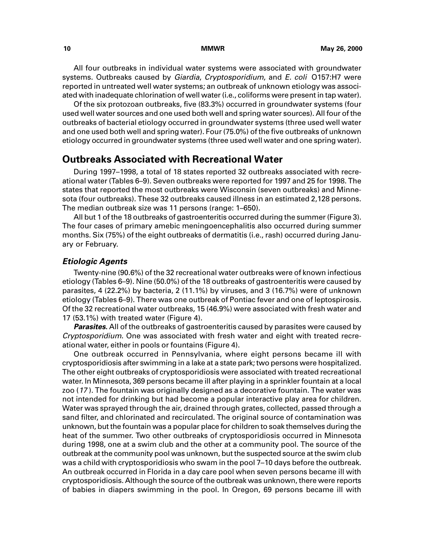All four outbreaks in individual water systems were associated with groundwater systems. Outbreaks caused by Giardia, Cryptosporidium, and E. coli 0157:H7 were reported in untreated well water systems; an outbreak of unknown etiology was associated with inadequate chlorination of well water (i.e., coliforms were present in tap water).

Of the six protozoan outbreaks, five (83.3%) occurred in groundwater systems (four used well water sources and one used both well and spring water sources). All four of the outbreaks of bacterial etiology occurred in groundwater systems (three used well water and one used both well and spring water). Four (75.0%) of the five outbreaks of unknown etiology occurred in groundwater systems (three used well water and one spring water).

### **Outbreaks Associated with Recreational Water**

During 1997–1998, a total of 18 states reported 32 outbreaks associated with recreational water (Tables 6–9). Seven outbreaks were reported for 1997 and 25 for 1998. The states that reported the most outbreaks were Wisconsin (seven outbreaks) and Minnesota (four outbreaks). These 32 outbreaks caused illness in an estimated 2,128 persons. The median outbreak size was 11 persons (range: 1–650).

All but 1 of the 18 outbreaks of gastroenteritis occurred during the summer (Figure 3). The four cases of primary amebic meningoencephalitis also occurred during summer months. Six (75%) of the eight outbreaks of dermatitis (i.e., rash) occurred during January or February.

#### **Etiologic Agents**

Twenty-nine (90.6%) of the 32 recreational water outbreaks were of known infectious etiology (Tables 6–9). Nine (50.0%) of the 18 outbreaks of gastroenteritis were caused by parasites, 4 (22.2%) by bacteria, 2 (11.1%) by viruses, and 3 (16.7%) were of unknown etiology (Tables 6–9). There was one outbreak of Pontiac fever and one of leptospirosis. Of the 32 recreational water outbreaks, 15 (46.9%) were associated with fresh water and 17 (53.1%) with treated water (Figure 4).

**Parasites.** All of the outbreaks of gastroenteritis caused by parasites were caused by Cryptosporidium. One was associated with fresh water and eight with treated recreational water, either in pools or fountains (Figure 4).

One outbreak occurred in Pennsylvania, where eight persons became ill with cryptosporidiosis after swimming in a lake at a state park; two persons were hospitalized. The other eight outbreaks of cryptosporidiosis were associated with treated recreational water. In Minnesota, 369 persons became ill after playing in a sprinkler fountain at a local zoo (<sup>17</sup> ). The fountain was originally designed as a decorative fountain. The water was not intended for drinking but had become a popular interactive play area for children. Water was sprayed through the air, drained through grates, collected, passed through a sand filter, and chlorinated and recirculated. The original source of contamination was unknown, but the fountain was a popular place for children to soak themselves during the heat of the summer. Two other outbreaks of cryptosporidiosis occurred in Minnesota during 1998, one at a swim club and the other at a community pool. The source of the outbreak at the community pool was unknown, but the suspected source at the swim club was a child with cryptosporidiosis who swam in the pool 7–10 days before the outbreak. An outbreak occurred in Florida in a day care pool when seven persons became ill with cryptosporidiosis. Although the source of the outbreak was unknown, there were reports of babies in diapers swimming in the pool. In Oregon, 69 persons became ill with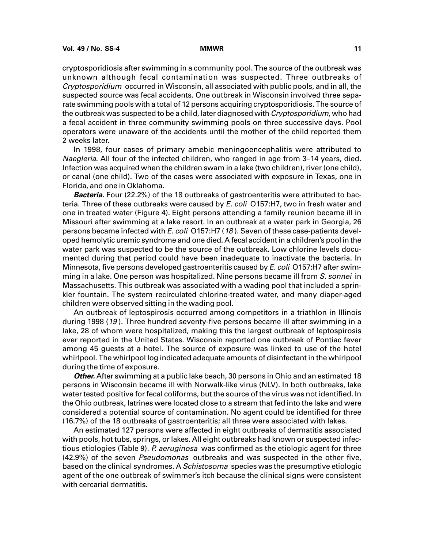cryptosporidiosis after swimming in a community pool. The source of the outbreak was unknown although fecal contamination was suspected. Three outbreaks of Cryptosporidium occurred in Wisconsin, all associated with public pools, and in all, the suspected source was fecal accidents. One outbreak in Wisconsin involved three separate swimming pools with a total of 12 persons acquiring cryptosporidiosis. The source of the outbreak was suspected to be a child, later diagnosed with Cryptosporidium, who had a fecal accident in three community swimming pools on three successive days. Pool operators were unaware of the accidents until the mother of the child reported them 2 weeks later.

In 1998, four cases of primary amebic meningoencephalitis were attributed to Naegleria. All four of the infected children, who ranged in age from 3–14 years, died. Infection was acquired when the children swam in a lake (two children), river (one child), or canal (one child). Two of the cases were associated with exposure in Texas, one in Florida, and one in Oklahoma.

**Bacteria.** Four (22.2%) of the 18 outbreaks of gastroenteritis were attributed to bacteria. Three of these outbreaks were caused by *E. coli* O157:H7, two in fresh water and one in treated water (Figure 4). Eight persons attending a family reunion became ill in Missouri after swimming at a lake resort. In an outbreak at a water park in Georgia, 26 persons became infected with E. coli O157:H7 (18). Seven of these case-patients developed hemolytic uremic syndrome and one died. A fecal accident in a children's pool in the water park was suspected to be the source of the outbreak. Low chlorine levels documented during that period could have been inadequate to inactivate the bacteria. In Minnesota, five persons developed gastroenteritis caused by E. coli O157:H7 after swimming in a lake. One person was hospitalized. Nine persons became ill from S. sonnei in Massachusetts. This outbreak was associated with a wading pool that included a sprinkler fountain. The system recirculated chlorine-treated water, and many diaper-aged children were observed sitting in the wading pool.

An outbreak of leptospirosis occurred among competitors in a triathlon in Illinois during 1998 (19 ). Three hundred seventy-five persons became ill after swimming in a lake, 28 of whom were hospitalized, making this the largest outbreak of leptospirosis ever reported in the United States. Wisconsin reported one outbreak of Pontiac fever among 45 guests at a hotel. The source of exposure was linked to use of the hotel whirlpool. The whirlpool log indicated adequate amounts of disinfectant in the whirlpool during the time of exposure.

**Other.** After swimming at a public lake beach, 30 persons in Ohio and an estimated 18 persons in Wisconsin became ill with Norwalk-like virus (NLV). In both outbreaks, lake water tested positive for fecal coliforms, but the source of the virus was not identified. In the Ohio outbreak, latrines were located close to a stream that fed into the lake and were considered a potential source of contamination. No agent could be identified for three (16.7%) of the 18 outbreaks of gastroenteritis; all three were associated with lakes.

An estimated 127 persons were affected in eight outbreaks of dermatitis associated with pools, hot tubs, springs, or lakes. All eight outbreaks had known or suspected infectious etiologies (Table 9). P. aeruginosa was confirmed as the etiologic agent for three (42.9%) of the seven Pseudomonas outbreaks and was suspected in the other five, based on the clinical syndromes. A Schistosoma species was the presumptive etiologic agent of the one outbreak of swimmer's itch because the clinical signs were consistent with cercarial dermatitis.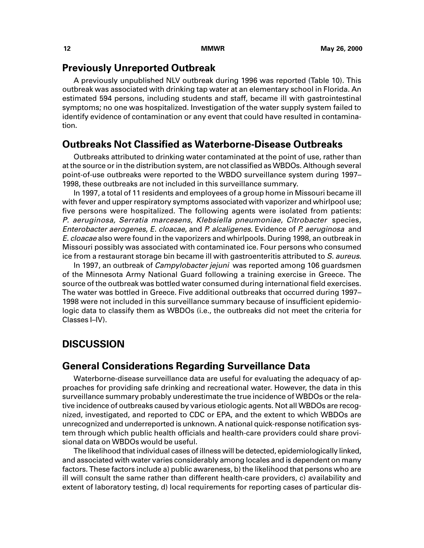### <span id="page-17-0"></span>**Previously Unreported Outbreak**

A previously unpublished NLV outbreak during 1996 was reported (Table 10). This outbreak was associated with drinking tap water at an elementary school in Florida. An estimated 594 persons, including students and staff, became ill with gastrointestinal symptoms; no one was hospitalized. Investigation of the water supply system failed to identify evidence of contamination or any event that could have resulted in contamination.

### **Outbreaks Not Classified as Waterborne-Disease Outbreaks**

Outbreaks attributed to drinking water contaminated at the point of use, rather than at the source or in the distribution system, are not classified as WBDOs. Although several point-of-use outbreaks were reported to the WBDO surveillance system during 1997– 1998, these outbreaks are not included in this surveillance summary.

In 1997, a total of 11 residents and employees of a group home in Missouri became ill with fever and upper respiratory symptoms associated with vaporizer and whirlpool use; five persons were hospitalized. The following agents were isolated from patients: P. aeruginosa, Serratia marcesens, Klebsiella pneumoniae, Citrobacter species, Enterobacter aerogenes, E. cloacae, and P. alcaligenes. Evidence of P. aeruginosa and E. cloacae also were found in the vaporizers and whirlpools. During 1998, an outbreak in Missouri possibly was associated with contaminated ice. Four persons who consumed ice from a restaurant storage bin became ill with gastroenteritis attributed to S. aureus.

In 1997, an outbreak of Campylobacter jejuni was reported among 106 guardsmen of the Minnesota Army National Guard following a training exercise in Greece. The source of the outbreak was bottled water consumed during international field exercises. The water was bottled in Greece. Five additional outbreaks that occurred during 1997– 1998 were not included in this surveillance summary because of insufficient epidemiologic data to classify them as WBDOs (i.e., the outbreaks did not meet the criteria for Classes I–IV).

### **DISCUSSION**

### **General Considerations Regarding Surveillance Data**

Waterborne-disease surveillance data are useful for evaluating the adequacy of approaches for providing safe drinking and recreational water. However, the data in this surveillance summary probably underestimate the true incidence of WBDOs or the relative incidence of outbreaks caused by various etiologic agents. Not all WBDOs are recognized, investigated, and reported to CDC or EPA, and the extent to which WBDOs are unrecognized and underreported is unknown. A national quick-response notification system through which public health officials and health-care providers could share provisional data on WBDOs would be useful.

The likelihood that individual cases of illness will be detected, epidemiologically linked, and associated with water varies considerably among locales and is dependent on many factors. These factors include a) public awareness, b) the likelihood that persons who are ill will consult the same rather than different health-care providers, c) availability and extent of laboratory testing, d) local requirements for reporting cases of particular dis-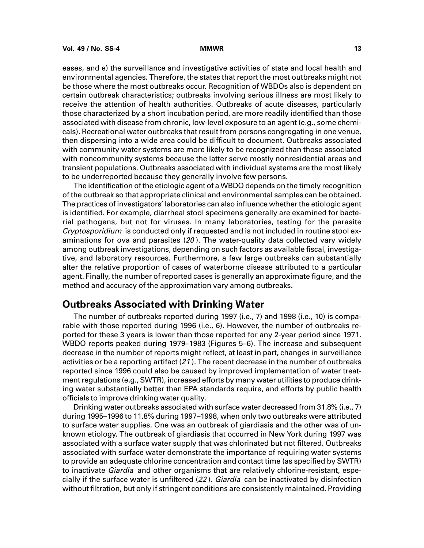eases, and e) the surveillance and investigative activities of state and local health and environmental agencies. Therefore, the states that report the most outbreaks might not be those where the most outbreaks occur. Recognition of WBDOs also is dependent on certain outbreak characteristics; outbreaks involving serious illness are most likely to receive the attention of health authorities. Outbreaks of acute diseases, particularly those characterized by a short incubation period, are more readily identified than those associated with disease from chronic, low-level exposure to an agent (e.g., some chemicals). Recreational water outbreaks that result from persons congregating in one venue, then dispersing into a wide area could be difficult to document. Outbreaks associated with community water systems are more likely to be recognized than those associated with noncommunity systems because the latter serve mostly nonresidential areas and transient populations. Outbreaks associated with individual systems are the most likely to be underreported because they generally involve few persons.

The identification of the etiologic agent of a WBDO depends on the timely recognition of the outbreak so that appropriate clinical and environmental samples can be obtained. The practices of investigators' laboratories can also influence whether the etiologic agent is identified. For example, diarrheal stool specimens generally are examined for bacterial pathogens, but not for viruses. In many laboratories, testing for the parasite Cryptosporidium is conducted only if requested and is not included in routine stool examinations for ova and parasites  $(20)$ . The water-quality data collected vary widely among outbreak investigations, depending on such factors as available fiscal, investigative, and laboratory resources. Furthermore, a few large outbreaks can substantially alter the relative proportion of cases of waterborne disease attributed to a particular agent. Finally, the number of reported cases is generally an approximate figure, and the method and accuracy of the approximation vary among outbreaks.

### **Outbreaks Associated with Drinking Water**

The number of outbreaks reported during 1997 (i.e., 7) and 1998 (i.e., 10) is comparable with those reported during 1996 (i.e., 6). However, the number of outbreaks reported for these 3 years is lower than those reported for any 2-year period since 1971. WBDO reports peaked during 1979–1983 (Figures 5–6). The increase and subsequent decrease in the number of reports might reflect, at least in part, changes in surveillance activities or be a reporting artifact (21 ). The recent decrease in the number of outbreaks reported since 1996 could also be caused by improved implementation of water treatment regulations (e.g., SWTR), increased efforts by many water utilities to produce drinking water substantially better than EPA standards require, and efforts by public health officials to improve drinking water quality.

Drinking water outbreaks associated with surface water decreased from 31.8% (i.e., 7) during 1995–1996 to 11.8% during 1997–1998, when only two outbreaks were attributed to surface water supplies. One was an outbreak of giardiasis and the other was of unknown etiology. The outbreak of giardiasis that occurred in New York during 1997 was associated with a surface water supply that was chlorinated but not filtered. Outbreaks associated with surface water demonstrate the importance of requiring water systems to provide an adequate chlorine concentration and contact time (as specified by SWTR) to inactivate *Giardia* and other organisms that are relatively chlorine-resistant, especially if the surface water is unfiltered (22). Giardia can be inactivated by disinfection without filtration, but only if stringent conditions are consistently maintained. Providing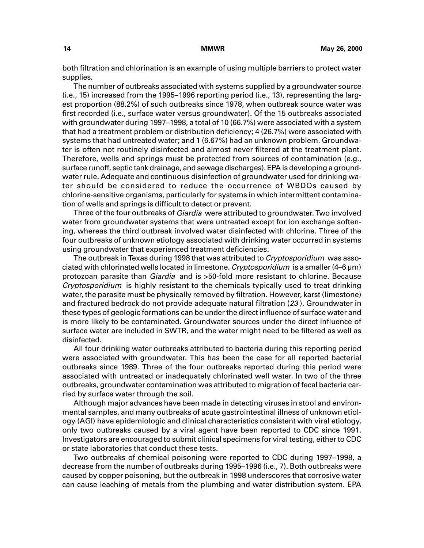both filtration and chlorination is an example of using multiple barriers to protect water supplies.

The number of outbreaks associated with systems supplied by a groundwater source (i.e., 15) increased from the 1995–1996 reporting period (i.e., 13), representing the largest proportion (88.2%) of such outbreaks since 1978, when outbreak source water was first recorded (i.e., surface water versus groundwater). Of the 15 outbreaks associated with groundwater during 1997–1998, a total of 10 (66.7%) were associated with a system that had a treatment problem or distribution deficiency; 4 (26.7%) were associated with systems that had untreated water; and 1 (6.67%) had an unknown problem. Groundwater is often not routinely disinfected and almost never filtered at the treatment plant. Therefore, wells and springs must be protected from sources of contamination (e.g., surface runoff, septic tank drainage, and sewage discharges). EPA is developing a groundwater rule. Adequate and continuous disinfection of groundwater used for drinking water should be considered to reduce the occurrence of WBDOs caused by chlorine-sensitive organisms, particularly for systems in which intermittent contamination of wells and springs is difficult to detect or prevent.

Three of the four outbreaks of *Giardia* were attributed to groundwater. Two involved water from groundwater systems that were untreated except for ion exchange softening, whereas the third outbreak involved water disinfected with chlorine. Three of the four outbreaks of unknown etiology associated with drinking water occurred in systems using groundwater that experienced treatment deficiencies.

The outbreak in Texas during 1998 that was attributed to Cryptosporidium was associated with chlorinated wells located in limestone. Cryptosporidium is a smaller (4–6 µm) protozoan parasite than Giardia and is >50-fold more resistant to chlorine. Because Cryptosporidium is highly resistant to the chemicals typically used to treat drinking water, the parasite must be physically removed by filtration. However, karst (limestone) and fractured bedrock do not provide adequate natural filtration (23 ). Groundwater in these types of geologic formations can be under the direct influence of surface water and is more likely to be contaminated. Groundwater sources under the direct influence of surface water are included in SWTR, and the water might need to be filtered as well as disinfected.

All four drinking water outbreaks attributed to bacteria during this reporting period were associated with groundwater. This has been the case for all reported bacterial outbreaks since 1989. Three of the four outbreaks reported during this period were associated with untreated or inadequately chlorinated well water. In two of the three outbreaks, groundwater contamination was attributed to migration of fecal bacteria carried by surface water through the soil.

Although major advances have been made in detecting viruses in stool and environmental samples, and many outbreaks of acute gastrointestinal illness of unknown etiology (AGI) have epidemiologic and clinical characteristics consistent with viral etiology, only two outbreaks caused by a viral agent have been reported to CDC since 1991. Investigators are encouraged to submit clinical specimens for viral testing, either to CDC or state laboratories that conduct these tests.

Two outbreaks of chemical poisoning were reported to CDC during 1997–1998, a decrease from the number of outbreaks during 1995–1996 (i.e., 7). Both outbreaks were caused by copper poisoning, but the outbreak in 1998 underscores that corrosive water can cause leaching of metals from the plumbing and water distribution system. EPA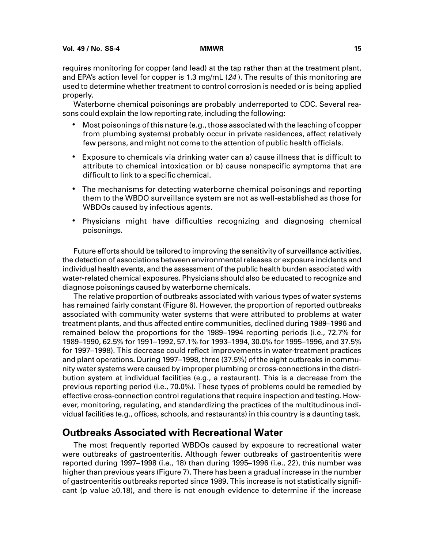requires monitoring for copper (and lead) at the tap rather than at the treatment plant, and EPA's action level for copper is 1.3 mg/mL (24 ). The results of this monitoring are used to determine whether treatment to control corrosion is needed or is being applied properly.

Waterborne chemical poisonings are probably underreported to CDC. Several reasons could explain the low reporting rate, including the following:

- Most poisonings of this nature (e.g., those associated with the leaching of copper from plumbing systems) probably occur in private residences, affect relatively few persons, and might not come to the attention of public health officials.
- Exposure to chemicals via drinking water can a) cause illness that is difficult to attribute to chemical intoxication or b) cause nonspecific symptoms that are difficult to link to a specific chemical.
- The mechanisms for detecting waterborne chemical poisonings and reporting them to the WBDO surveillance system are not as well-established as those for WBDOs caused by infectious agents.
- Physicians might have difficulties recognizing and diagnosing chemical poisonings.

Future efforts should be tailored to improving the sensitivity of surveillance activities, the detection of associations between environmental releases or exposure incidents and individual health events, and the assessment of the public health burden associated with water-related chemical exposures. Physicians should also be educated to recognize and diagnose poisonings caused by waterborne chemicals.

The relative proportion of outbreaks associated with various types of water systems has remained fairly constant (Figure 6). However, the proportion of reported outbreaks associated with community water systems that were attributed to problems at water treatment plants, and thus affected entire communities, declined during 1989–1996 and remained below the proportions for the 1989–1994 reporting periods (i.e., 72.7% for 1989–1990, 62.5% for 1991–1992, 57.1% for 1993–1994, 30.0% for 1995–1996, and 37.5% for 1997–1998). This decrease could reflect improvements in water-treatment practices and plant operations. During 1997–1998, three (37.5%) of the eight outbreaks in community water systems were caused by improper plumbing or cross-connections in the distribution system at individual facilities (e.g., a restaurant). This is a decrease from the previous reporting period (i.e., 70.0%). These types of problems could be remedied by effective cross-connection control regulations that require inspection and testing. However, monitoring, regulating, and standardizing the practices of the multitudinous individual facilities (e.g., offices, schools, and restaurants) in this country is a daunting task.

### **Outbreaks Associated with Recreational Water**

The most frequently reported WBDOs caused by exposure to recreational water were outbreaks of gastroenteritis. Although fewer outbreaks of gastroenteritis were reported during 1997–1998 (i.e., 18) than during 1995–1996 (i.e., 22), this number was higher than previous years (Figure 7). There has been a gradual increase in the number of gastroenteritis outbreaks reported since 1989. This increase is not statistically significant (p value  $\geq$ 0.18), and there is not enough evidence to determine if the increase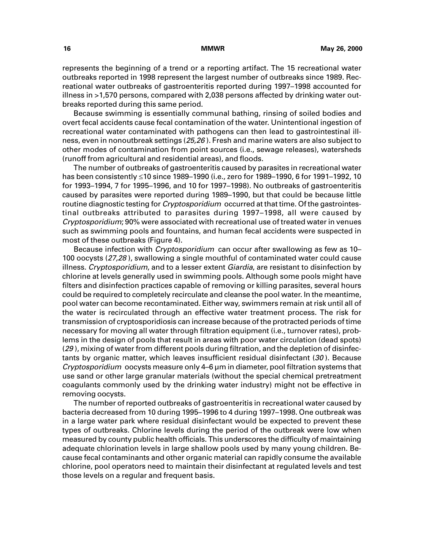represents the beginning of a trend or a reporting artifact. The 15 recreational water outbreaks reported in 1998 represent the largest number of outbreaks since 1989. Recreational water outbreaks of gastroenteritis reported during 1997–1998 accounted for illness in >1,570 persons, compared with 2,038 persons affected by drinking water outbreaks reported during this same period.

Because swimming is essentially communal bathing, rinsing of soiled bodies and overt fecal accidents cause fecal contamination of the water. Unintentional ingestion of recreational water contaminated with pathogens can then lead to gastrointestinal illness, even in nonoutbreak settings (25,26). Fresh and marine waters are also subject to other modes of contamination from point sources (i.e., sewage releases), watersheds (runoff from agricultural and residential areas), and floods.

The number of outbreaks of gastroenteritis caused by parasites in recreational water has been consistently <10 since 1989–1990 (i.e., zero for 1989–1990, 6 for 1991–1992, 10 for 1993–1994, 7 for 1995–1996, and 10 for 1997–1998). No outbreaks of gastroenteritis caused by parasites were reported during 1989–1990, but that could be because little routine diagnostic testing for *Cryptosporidium* occurred at that time. Of the gastrointestinal outbreaks attributed to parasites during 1997–1998, all were caused by Cryptosporidium; 90% were associated with recreational use of treated water in venues such as swimming pools and fountains, and human fecal accidents were suspected in most of these outbreaks (Figure 4).

Because infection with *Cryptosporidium* can occur after swallowing as few as 10– 100 oocysts (27,28 ), swallowing a single mouthful of contaminated water could cause illness. Cryptosporidium, and to a lesser extent Giardia, are resistant to disinfection by chlorine at levels generally used in swimming pools. Although some pools might have filters and disinfection practices capable of removing or killing parasites, several hours could be required to completely recirculate and cleanse the pool water. In the meantime, pool water can become recontaminated. Either way, swimmers remain at risk until all of the water is recirculated through an effective water treatment process. The risk for transmission of cryptosporidiosis can increase because of the protracted periods of time necessary for moving all water through filtration equipment (i.e., turnover rates), problems in the design of pools that result in areas with poor water circulation (dead spots) (29), mixing of water from different pools during filtration, and the depletion of disinfectants by organic matter, which leaves insufficient residual disinfectant  $(30)$ . Because Cryptosporidium oocysts measure only 4–6 µm in diameter, pool filtration systems that use sand or other large granular materials (without the special chemical pretreatment coagulants commonly used by the drinking water industry) might not be effective in removing oocysts.

The number of reported outbreaks of gastroenteritis in recreational water caused by bacteria decreased from 10 during 1995–1996 to 4 during 1997–1998. One outbreak was in a large water park where residual disinfectant would be expected to prevent these types of outbreaks. Chlorine levels during the period of the outbreak were low when measured by county public health officials. This underscores the difficulty of maintaining adequate chlorination levels in large shallow pools used by many young children. Because fecal contaminants and other organic material can rapidly consume the available chlorine, pool operators need to maintain their disinfectant at regulated levels and test those levels on a regular and frequent basis.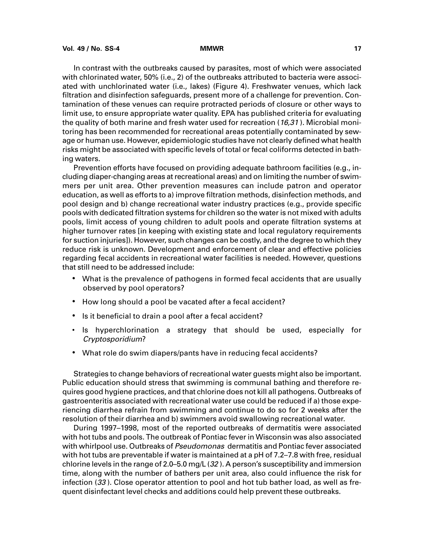In contrast with the outbreaks caused by parasites, most of which were associated with chlorinated water, 50% (i.e., 2) of the outbreaks attributed to bacteria were associated with unchlorinated water (i.e., lakes) (Figure 4). Freshwater venues, which lack filtration and disinfection safeguards, present more of a challenge for prevention. Contamination of these venues can require protracted periods of closure or other ways to limit use, to ensure appropriate water quality. EPA has published criteria for evaluating the quality of both marine and fresh water used for recreation  $(16,31)$ . Microbial monitoring has been recommended for recreational areas potentially contaminated by sewage or human use. However, epidemiologic studies have not clearly defined what health risks might be associated with specific levels of total or fecal coliforms detected in bathing waters.

Prevention efforts have focused on providing adequate bathroom facilities (e.g., including diaper-changing areas at recreational areas) and on limiting the number of swimmers per unit area. Other prevention measures can include patron and operator education, as well as efforts to a) improve filtration methods, disinfection methods, and pool design and b) change recreational water industry practices (e.g., provide specific pools with dedicated filtration systems for children so the water is not mixed with adults pools, limit access of young children to adult pools and operate filtration systems at higher turnover rates [in keeping with existing state and local regulatory requirements for suction injuries]). However, such changes can be costly, and the degree to which they reduce risk is unknown. Development and enforcement of clear and effective policies regarding fecal accidents in recreational water facilities is needed. However, questions that still need to be addressed include:

- What is the prevalence of pathogens in formed fecal accidents that are usually observed by pool operators?
- How long should a pool be vacated after a fecal accident?
- Is it beneficial to drain a pool after a fecal accident?
- Is hyperchlorination a strategy that should be used, especially for Cryptosporidium?
- What role do swim diapers/pants have in reducing fecal accidents?

Strategies to change behaviors of recreational water guests might also be important. Public education should stress that swimming is communal bathing and therefore requires good hygiene practices, and that chlorine does not kill all pathogens. Outbreaks of gastroenteritis associated with recreational water use could be reduced if a) those experiencing diarrhea refrain from swimming and continue to do so for 2 weeks after the resolution of their diarrhea and b) swimmers avoid swallowing recreational water.

During 1997–1998, most of the reported outbreaks of dermatitis were associated with hot tubs and pools. The outbreak of Pontiac fever in Wisconsin was also associated with whirlpool use. Outbreaks of Pseudomonas dermatitis and Pontiac fever associated with hot tubs are preventable if water is maintained at a pH of 7.2–7.8 with free, residual chlorine levels in the range of 2.0–5.0 mg/L (32 ). A person's susceptibility and immersion time, along with the number of bathers per unit area, also could influence the risk for infection  $(33)$ . Close operator attention to pool and hot tub bather load, as well as frequent disinfectant level checks and additions could help prevent these outbreaks.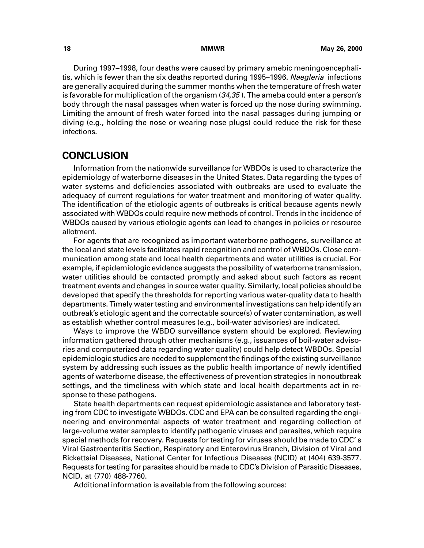<span id="page-23-0"></span>During 1997–1998, four deaths were caused by primary amebic meningoencephalitis, which is fewer than the six deaths reported during 1995–1996. Naegleria infections are generally acquired during the summer months when the temperature of fresh water is favorable for multiplication of the organism  $(34,35)$ . The ameba could enter a person's body through the nasal passages when water is forced up the nose during swimming. Limiting the amount of fresh water forced into the nasal passages during jumping or diving (e.g., holding the nose or wearing nose plugs) could reduce the risk for these infections.

### **CONCLUSION**

Information from the nationwide surveillance for WBDOs is used to characterize the epidemiology of waterborne diseases in the United States. Data regarding the types of water systems and deficiencies associated with outbreaks are used to evaluate the adequacy of current regulations for water treatment and monitoring of water quality. The identification of the etiologic agents of outbreaks is critical because agents newly associated with WBDOs could require new methods of control. Trends in the incidence of WBDOs caused by various etiologic agents can lead to changes in policies or resource allotment.

For agents that are recognized as important waterborne pathogens, surveillance at the local and state levels facilitates rapid recognition and control of WBDOs. Close communication among state and local health departments and water utilities is crucial. For example, if epidemiologic evidence suggests the possibility of waterborne transmission, water utilities should be contacted promptly and asked about such factors as recent treatment events and changes in source water quality. Similarly, local policies should be developed that specify the thresholds for reporting various water-quality data to health departments. Timely water testing and environmental investigations can help identify an outbreak's etiologic agent and the correctable source(s) of water contamination, as well as establish whether control measures (e.g., boil-water advisories) are indicated.

Ways to improve the WBDO surveillance system should be explored. Reviewing information gathered through other mechanisms (e.g., issuances of boil-water advisories and computerized data regarding water quality) could help detect WBDOs. Special epidemiologic studies are needed to supplement the findings of the existing surveillance system by addressing such issues as the public health importance of newly identified agents of waterborne disease, the effectiveness of prevention strategies in nonoutbreak settings, and the timeliness with which state and local health departments act in response to these pathogens.

State health departments can request epidemiologic assistance and laboratory testing from CDC to investigate WBDOs. CDC and EPA can be consulted regarding the engineering and environmental aspects of water treatment and regarding collection of large-volume water samples to identify pathogenic viruses and parasites, which require special methods for recovery. Requests for testing for viruses should be made to CDC' s Viral Gastroenteritis Section, Respiratory and Enterovirus Branch, Division of Viral and Rickettsial Diseases, National Center for Infectious Diseases (NCID) at (404) 639-3577. Requests for testing for parasites should be made to CDC's Division of Parasitic Diseases, NCID, at (770) 488-7760.

Additional information is available from the following sources: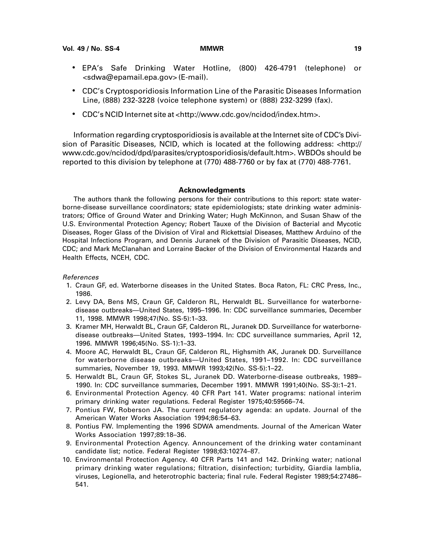- <span id="page-24-0"></span>• EPA's Safe Drinking Water Hotline, (800) 426-4791 (telephone) or [<sdwa@epamail.epa.gov> \(](sdwa@epamail.epa.gov)E-mail).
- CDC's Cryptosporidiosis Information Line of the Parasitic Diseases Information Line, (888) 232-3228 (voice telephone system) or (888) 232-3299 (fax).
- CDC's NCID Internet site at [<http://www.cdc.gov/ncidod/index.htm>.](http://www.cdc.gov/ncidod/index.htm)

Information regarding cryptosporidiosis is available at the Internet site of CDC's Division of Parasitic Diseases, NCID, which is located at the following address: [<http://](http://www.cdc.gov/ncidod/dpd/parasites/cryptosporidiosis/default.htm) [www.cdc.gov/ncidod/dpd/parasites/cryptosporidiosis/default.htm>.](http://www.cdc.gov/ncidod/dpd/parasites/cryptosporidiosis/default.htm) WBDOs should be reported to this division by telephone at (770) 488-7760 or by fax at (770) 488-7761.

#### **Acknowledgments**

The authors thank the following persons for their contributions to this report: state waterborne-disease surveillance coordinators; state epidemiologists; state drinking water administrators; Office of Ground Water and Drinking Water; Hugh McKinnon, and Susan Shaw of the U.S. Environmental Protection Agency; Robert Tauxe of the Division of Bacterial and Mycotic Diseases, Roger Glass of the Division of Viral and Rickettsial Diseases, Matthew Arduino of the Hospital Infections Program, and Dennis Juranek of the Division of Parasitic Diseases, NCID, CDC; and Mark McClanahan and Lorraine Backer of the Division of Environmental Hazards and Health Effects, NCEH, CDC.

#### References

- 1. Craun GF, ed. Waterborne diseases in the United States. Boca Raton, FL: CRC Press, Inc., 1986.
- 2. Levy DA, Bens MS, Craun GF, Calderon RL, Herwaldt BL. Surveillance for waterbornedisease outbreaks—United States, 1995–1996. In: CDC surveillance summaries, December 11, 1998. MMWR 1998;47(No. SS-5):1–33.
- 3. Kramer MH, Herwaldt BL, Craun GF, Calderon RL, Juranek DD. Surveillance for waterbornedisease outbreaks—United States, 1993–1994. In: CDC surveillance summaries, April 12, 1996. MMWR 1996;45(No. SS-1):1–33.
- 4. Moore AC, Herwaldt BL, Craun GF, Calderon RL, Highsmith AK, Juranek DD. Surveillance for waterborne disease outbreaks—United States, 1991–1992. In: CDC surveillance summaries, November 19, 1993. MMWR 1993;42(No. SS-5):1–22.
- 5. Herwaldt BL, Craun GF, Stokes SL, Juranek DD. Waterborne-disease outbreaks, 1989– 1990. In: CDC surveillance summaries, December 1991. MMWR 1991;40(No. SS-3):1–21.
- 6. Environmental Protection Agency. 40 CFR Part 141. Water programs: national interim primary drinking water regulations. Federal Register 1975;40:59566–74.
- 7. Pontius FW, Roberson JA. The current regulatory agenda: an update. Journal of the American Water Works Association 1994;86:54–63.
- 8. Pontius FW. Implementing the 1996 SDWA amendments. Journal of the American Water Works Association 1997;89:18–36.
- 9. Environmental Protection Agency. Announcement of the drinking water contaminant candidate list; notice. Federal Register 1998;63:10274–87.
- 10. Environmental Protection Agency. 40 CFR Parts 141 and 142. Drinking water; national primary drinking water regulations; filtration, disinfection; turbidity, Giardia lamblia, viruses, Legionella, and heterotrophic bacteria; final rule. Federal Register 1989;54:27486– 541.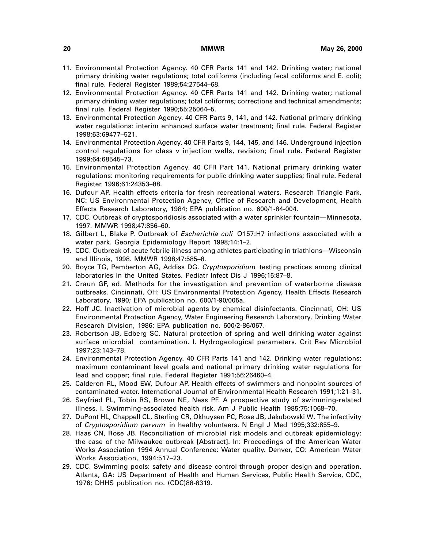- 11. Environmental Protection Agency. 40 CFR Parts 141 and 142. Drinking water; national primary drinking water regulations; total coliforms (including fecal coliforms and E. coli); final rule. Federal Register 1989;54:27544–68.
- 12. Environmental Protection Agency. 40 CFR Parts 141 and 142. Drinking water; national primary drinking water regulations; total coliforms; corrections and technical amendments; final rule. Federal Register 1990;55:25064–5.
- 13. Environmental Protection Agency. 40 CFR Parts 9, 141, and 142. National primary drinking water regulations: interim enhanced surface water treatment; final rule. Federal Register 1998;63:69477–521.
- 14. Environmental Protection Agency. 40 CFR Parts 9, 144, 145, and 146. Underground injection control regulations for class v injection wells, revision; final rule. Federal Register 1999;64:68545–73.
- 15. Environmental Protection Agency. 40 CFR Part 141. National primary drinking water regulations: monitoring requirements for public drinking water supplies; final rule. Federal Register 1996;61:24353–88.
- 16. Dufour AP. Health effects criteria for fresh recreational waters. Research Triangle Park, NC: US Environmental Protection Agency, Office of Research and Development, Health Effects Research Laboratory, 1984; EPA publication no. 600/1-84-004.
- 17. CDC. Outbreak of cryptosporidiosis associated with a water sprinkler fountain—Minnesota, 1997. MMWR 1998;47:856–60.
- 18. Gilbert L, Blake P. Outbreak of *Escherichia coli* O157:H7 infections associated with a water park. Georgia Epidemiology Report 1998;14:1–2.
- 19. CDC. Outbreak of acute febrile illness among athletes participating in triathlons—Wisconsin and Illinois, 1998. MMWR 1998;47:585–8.
- 20. Boyce TG, Pemberton AG, Addiss DG. Cryptosporidium testing practices among clinical laboratories in the United States. Pediatr Infect Dis J 1996;15:87–8.
- 21. Craun GF, ed. Methods for the investigation and prevention of waterborne disease outbreaks. Cincinnati, OH: US Environmental Protection Agency, Health Effects Research Laboratory, 1990; EPA publication no. 600/1-90/005a.
- 22. Hoff JC. Inactivation of microbial agents by chemical disinfectants. Cincinnati, OH: US Environmental Protection Agency, Water Engineering Research Laboratory, Drinking Water Research Division, 1986; EPA publication no. 600/2-86/067.
- 23. Robertson JB, Edberg SC. Natural protection of spring and well drinking water against surface microbial contamination. I. Hydrogeological parameters. Crit Rev Microbiol 1997;23:143–78.
- 24. Environmental Protection Agency. 40 CFR Parts 141 and 142. Drinking water regulations: maximum contaminant level goals and national primary drinking water regulations for lead and copper; final rule. Federal Register 1991;56:26460–4.
- 25. Calderon RL, Mood EW, Dufour AP. Health effects of swimmers and nonpoint sources of contaminated water. International Journal of Environmental Health Research 1991;1:21–31.
- 26. Seyfried PL, Tobin RS, Brown NE, Ness PF. A prospective study of swimming-related illness. I. Swimming-associated health risk. Am J Public Health 1985;75:1068–70.
- 27. DuPont HL, Chappell CL, Sterling CR, Okhuysen PC, Rose JB, Jakubowski W. The infectivity of Cryptosporidium parvum in healthy volunteers. N Engl J Med 1995;332:855–9.
- 28. Haas CN, Rose JB. Reconciliation of microbial risk models and outbreak epidemiology: the case of the Milwaukee outbreak [Abstract]. In: Proceedings of the American Water Works Association 1994 Annual Conference: Water quality. Denver, CO: American Water Works Association, 1994:517–23.
- 29. CDC. Swimming pools: safety and disease control through proper design and operation. Atlanta, GA: US Department of Health and Human Services, Public Health Service, CDC, 1976; DHHS publication no. (CDC)88-8319.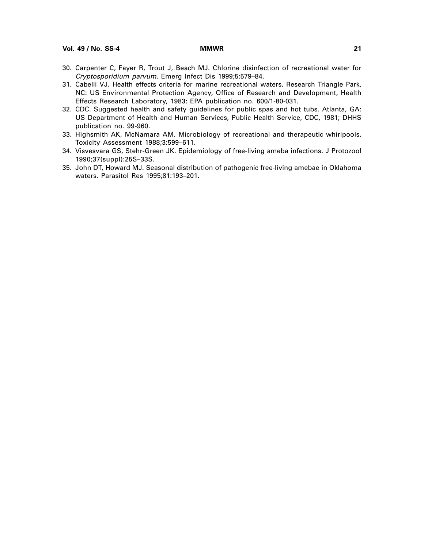**Vol. 49 / No. SS-4 MMWR 21**

- 30. Carpenter C, Fayer R, Trout J, Beach MJ. Chlorine disinfection of recreational water for Cryptosporidium parvum. Emerg Infect Dis 1999;5:579–84.
- 31. Cabelli VJ. Health effects criteria for marine recreational waters. Research Triangle Park, NC: US Environmental Protection Agency, Office of Research and Development, Health Effects Research Laboratory, 1983; EPA publication no. 600/1-80-031.
- 32. CDC. Suggested health and safety guidelines for public spas and hot tubs. Atlanta, GA: US Department of Health and Human Services, Public Health Service, CDC, 1981; DHHS publication no. 99-960.
- 33. Highsmith AK, McNamara AM. Microbiology of recreational and therapeutic whirlpools. Toxicity Assessment 1988;3:599–611.
- 34. Visvesvara GS, Stehr-Green JK. Epidemiology of free-living ameba infections. J Protozool 1990;37(suppl):25S–33S.
- 35. John DT, Howard MJ. Seasonal distribution of pathogenic free-living amebae in Oklahoma waters. Parasitol Res 1995;81:193–201.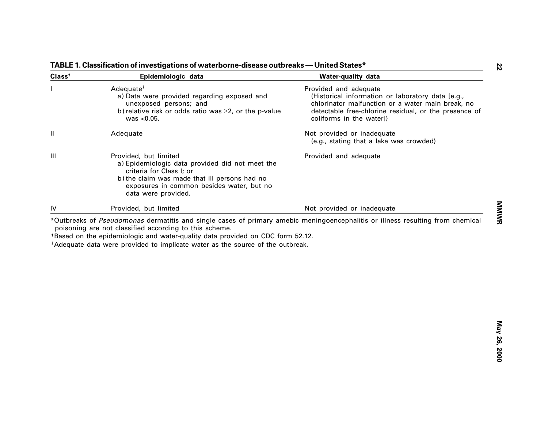| Class <sup>†</sup> | Epidemiologic data                                                                                                                                                                                                                                                                                                                                                       | Water-quality data                                                                                                                                                                                                   |
|--------------------|--------------------------------------------------------------------------------------------------------------------------------------------------------------------------------------------------------------------------------------------------------------------------------------------------------------------------------------------------------------------------|----------------------------------------------------------------------------------------------------------------------------------------------------------------------------------------------------------------------|
|                    | Adequate <sup>§</sup><br>a) Data were provided regarding exposed and<br>unexposed persons; and<br>b) relative risk or odds ratio was $\geq$ 2, or the p-value<br>was $< 0.05$ .                                                                                                                                                                                          | Provided and adequate<br>(Historical information or laboratory data [e.g.,<br>chlorinator malfunction or a water main break, no<br>detectable free-chlorine residual, or the presence of<br>coliforms in the water]) |
| Ш                  | Adequate                                                                                                                                                                                                                                                                                                                                                                 | Not provided or inadequate<br>(e.g., stating that a lake was crowded)                                                                                                                                                |
| Ш                  | Provided, but limited<br>a) Epidemiologic data provided did not meet the<br>criteria for Class I; or<br>b) the claim was made that ill persons had no<br>exposures in common besides water, but no<br>data were provided.                                                                                                                                                | Provided and adequate                                                                                                                                                                                                |
| IV                 | Provided, but limited                                                                                                                                                                                                                                                                                                                                                    | Not provided or inadequate                                                                                                                                                                                           |
|                    | *Outbreaks of Pseudomonas dermatitis and single cases of primary amebic meningoencephalitis or illness resulting from chemical<br>poisoning are not classified according to this scheme.<br>*Based on the epidemiologic and water-quality data provided on CDC form 52.12.<br><sup>§</sup> Adequate data were provided to implicate water as the source of the outbreak. |                                                                                                                                                                                                                      |
|                    |                                                                                                                                                                                                                                                                                                                                                                          |                                                                                                                                                                                                                      |
|                    |                                                                                                                                                                                                                                                                                                                                                                          |                                                                                                                                                                                                                      |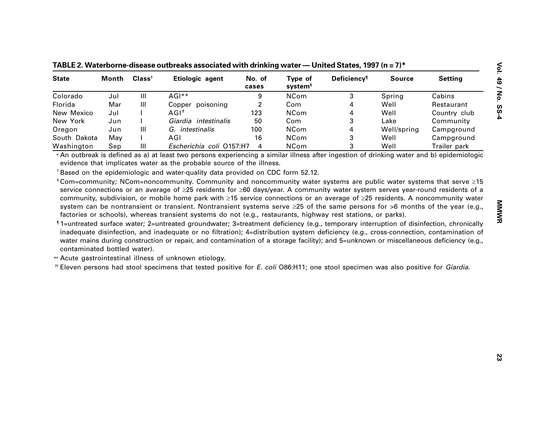| <b>State</b>                                                                                                                    | <b>Month</b> | Class <sup>†</sup> | Etiologic agent                                                                                                                                                                                                                                                                                              | No. of<br>cases | Type of<br>system <sup>§</sup> | <b>Deficiency</b> <sup>1</sup> | <b>Source</b> | <b>Setting</b> |
|---------------------------------------------------------------------------------------------------------------------------------|--------------|--------------------|--------------------------------------------------------------------------------------------------------------------------------------------------------------------------------------------------------------------------------------------------------------------------------------------------------------|-----------------|--------------------------------|--------------------------------|---------------|----------------|
| Colorado                                                                                                                        | Jul          | Ш                  | AGI**                                                                                                                                                                                                                                                                                                        | 9               | <b>NCom</b>                    | 3                              | Spring        | Cabins         |
| Florida                                                                                                                         | Mar          | Ш                  | Copper poisoning                                                                                                                                                                                                                                                                                             | $\overline{2}$  | Com                            | 4                              | Well          | Restaurant     |
| New Mexico                                                                                                                      | Jul          |                    | $AGI^*$                                                                                                                                                                                                                                                                                                      | 123             | <b>NCom</b>                    | 4                              | Well          | Country club   |
| New York                                                                                                                        | Jun          |                    | Giardia intestinalis                                                                                                                                                                                                                                                                                         | 50              | Com                            | 3                              | Lake          | Community      |
| Oregon                                                                                                                          | Jun          | Ш                  | G. intestinalis                                                                                                                                                                                                                                                                                              | 100             | <b>NCom</b>                    | 4                              | Well/spring   | Campground     |
| South Dakota                                                                                                                    | May          |                    | AGI                                                                                                                                                                                                                                                                                                          | 16              | <b>NCom</b>                    | 3                              | Well          | Campground     |
| Washington                                                                                                                      | Sep          | Ш                  | Escherichia coli O157:H7                                                                                                                                                                                                                                                                                     | 4               | <b>NCom</b>                    | 3                              | Well          | Trailer park   |
| service connections or an average of ≥25 residents for ≥60 days/year. A community water system serves year-round residents of a |              |                    | evidence that implicates water as the probable source of the illness.<br><sup>†</sup> Based on the epidemiologic and water-quality data provided on CDC form 52.12.<br><sup>§</sup> Com=community; NCom=noncommunity. Community and noncommunity water systems are public water systems that serve $\geq$ 15 |                 |                                |                                |               |                |

TABLE 2. Waterborne-disease outbreaks associated with drinking water — United States, 1997 (n = 7)\*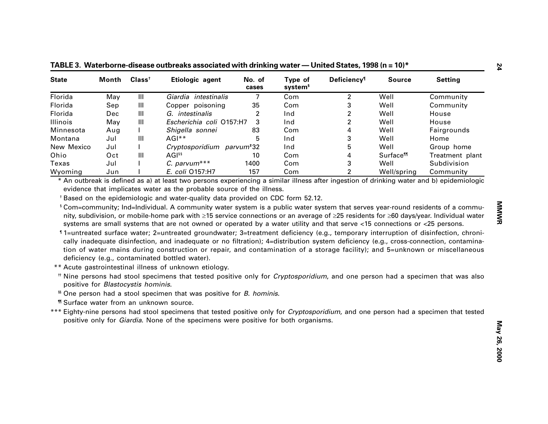| <b>State</b>                                          | Month | Class <sup>†</sup>                 | Etiologic agent                                                                                                                                                                                                                                                                                                                                                                                                                                                                                                                                                                                                                                                                                                                                                       | No. of<br>cases | Type of<br>system <sup>§</sup> | Deficiency <sup>1</sup> | <b>Source</b>               | <b>Setting</b>                                                                                                             |
|-------------------------------------------------------|-------|------------------------------------|-----------------------------------------------------------------------------------------------------------------------------------------------------------------------------------------------------------------------------------------------------------------------------------------------------------------------------------------------------------------------------------------------------------------------------------------------------------------------------------------------------------------------------------------------------------------------------------------------------------------------------------------------------------------------------------------------------------------------------------------------------------------------|-----------------|--------------------------------|-------------------------|-----------------------------|----------------------------------------------------------------------------------------------------------------------------|
| Florida                                               | May   | $\mathbf{III}$                     | Giardia intestinalis                                                                                                                                                                                                                                                                                                                                                                                                                                                                                                                                                                                                                                                                                                                                                  | 7               | Com                            | 2                       | Well                        | Community                                                                                                                  |
| Florida                                               | Sep   | Ш                                  | Copper poisoning                                                                                                                                                                                                                                                                                                                                                                                                                                                                                                                                                                                                                                                                                                                                                      | 35              | Com                            | 3                       | Well                        | Community                                                                                                                  |
| Florida                                               | Dec   | Ш                                  | G. intestinalis                                                                                                                                                                                                                                                                                                                                                                                                                                                                                                                                                                                                                                                                                                                                                       | 2               | Ind                            | 2                       | Well                        | House                                                                                                                      |
| Illinois                                              | May   | Ш                                  | Escherichia coli O157:H7                                                                                                                                                                                                                                                                                                                                                                                                                                                                                                                                                                                                                                                                                                                                              | 3               | Ind                            | 2                       | Well                        | House                                                                                                                      |
| Minnesota                                             | Aug   |                                    | Shigella sonnei                                                                                                                                                                                                                                                                                                                                                                                                                                                                                                                                                                                                                                                                                                                                                       | 83              | Com                            | 4                       | Well                        | Fairgrounds                                                                                                                |
| Montana                                               | Jul   | Ш                                  | AGI**                                                                                                                                                                                                                                                                                                                                                                                                                                                                                                                                                                                                                                                                                                                                                                 | 5               | Ind                            | 3                       | Well                        | Home                                                                                                                       |
| New Mexico                                            | Jul   |                                    | Cryptosporidium parvum <sup>+</sup> 32                                                                                                                                                                                                                                                                                                                                                                                                                                                                                                                                                                                                                                                                                                                                |                 | Ind                            | 5                       | Well                        | Group home                                                                                                                 |
| Ohio                                                  | Oct   | Ш                                  | AGI <sup>§§</sup>                                                                                                                                                                                                                                                                                                                                                                                                                                                                                                                                                                                                                                                                                                                                                     | 10              | Com                            | 4                       | <b>Surface<sup>11</sup></b> | Treatment plant                                                                                                            |
| Texas                                                 | Jul   |                                    | $C.$ parvum***                                                                                                                                                                                                                                                                                                                                                                                                                                                                                                                                                                                                                                                                                                                                                        | 1400            | Com                            | 3                       | Well                        | Subdivision                                                                                                                |
| Wyoming                                               | Jun   |                                    | E. coli 0157:H7                                                                                                                                                                                                                                                                                                                                                                                                                                                                                                                                                                                                                                                                                                                                                       | 157             | Com                            | 2                       | Well/spring                 | Community                                                                                                                  |
|                                                       |       |                                    |                                                                                                                                                                                                                                                                                                                                                                                                                                                                                                                                                                                                                                                                                                                                                                       |                 |                                |                         |                             | systems are small systems that are not owned or operated by a water utility and that serve <15 connections or <25 persons. |
| <b><i>"</i></b> Surface water from an unknown source. |       | positive for Blastocystis hominis. | "1=untreated surface water; 2=untreated groundwater; 3=treatment deficiency (e.g., temporary interruption of disinfection, chroni-<br>cally inadequate disinfection, and inadequate or no filtration); 4=distribution system deficiency (e.g., cross-connection, contamina-<br>tion of water mains during construction or repair, and contamination of a storage facility); and 5=unknown or miscellaneous<br>deficiency (e.g., contaminated bottled water).<br>** Acute gastrointestinal illness of unknown etiology.<br><sup>#</sup> Nine persons had stool specimens that tested positive only for <i>Cryptosporidium</i> , and one person had a specimen that was also<br><sup>§§</sup> One person had a stool specimen that was positive for <i>B. hominis</i> . |                 |                                |                         |                             |                                                                                                                            |

**— United States, 1998 (n = 10)\***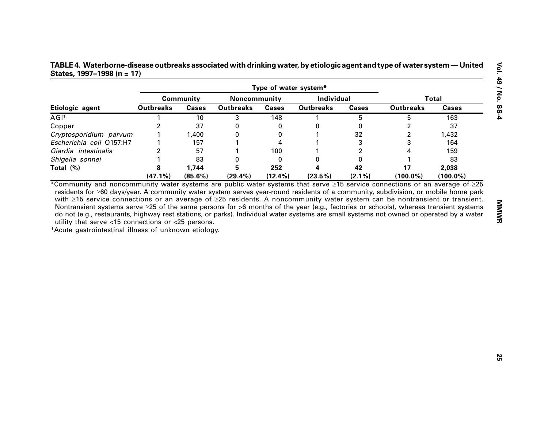**— United States, 1997 –1998 (n = 17)**

|                          |                  | <b>Community</b> | Noncommunity     |              | Individual       |              |                         | <b>Total</b> |
|--------------------------|------------------|------------------|------------------|--------------|------------------|--------------|-------------------------|--------------|
| Etiologic agent          | <b>Outbreaks</b> | <b>Cases</b>     | <b>Outbreaks</b> | <b>Cases</b> | <b>Outbreaks</b> | <b>Cases</b> | <b>Outbreaks</b>        | <b>Cases</b> |
| $AGI^{\dagger}$          |                  | 10               | 3                | 148          | 1                | 5            | 5                       | 163          |
| Copper                   | 2                | 37               | 0                | 0            | 0                | 0            | 2                       | 37           |
| Cryptosporidium parvum   |                  | 1,400            | 0                | 0            |                  | 32           | $\overline{\mathbf{c}}$ | 1,432        |
| Escherichia coli O157:H7 |                  | 157              |                  | 4            |                  | 3            | 3                       | 164          |
| Giardia intestinalis     | 2                | 57               |                  | 100          |                  | 2            | 4                       | 159          |
| Shigella sonnei          |                  | 83               | O                | 0            | 0                | 0            |                         | 83           |
| Total (%)                | 8                | 1,744            | 5                | 252          |                  | 42           | 17                      | 2,038        |
|                          | $(47.1\%)$       | $(85.6\%)$       | $(29.4\%)$       | $(12.4\%)$   | (23.5%)          | $(2.1\%)$    | $(100.0\%)$             | $(100.0\%)$  |
|                          |                  |                  |                  |              |                  |              |                         |              |
|                          |                  |                  |                  |              |                  |              |                         |              |
|                          |                  |                  |                  |              |                  |              |                         |              |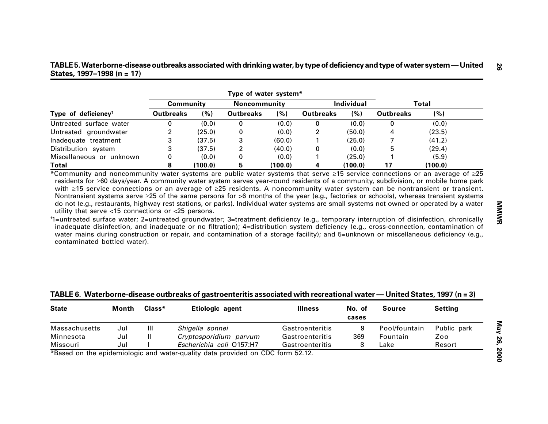| TABLE 5. Waterborne-disease outbreaks associated with drinking water, by type of deficiency and type of water system — United |  |
|-------------------------------------------------------------------------------------------------------------------------------|--|
| States, $1997-1998$ (n = 17)                                                                                                  |  |

|                                                                                                                                                                                                                                                                                                                                                                                                                                                                                       |                  |                        | Type of water system* |                 |                  |                 |                  |                                                                                                                                        |
|---------------------------------------------------------------------------------------------------------------------------------------------------------------------------------------------------------------------------------------------------------------------------------------------------------------------------------------------------------------------------------------------------------------------------------------------------------------------------------------|------------------|------------------------|-----------------------|-----------------|------------------|-----------------|------------------|----------------------------------------------------------------------------------------------------------------------------------------|
|                                                                                                                                                                                                                                                                                                                                                                                                                                                                                       |                  | <b>Community</b>       | <b>Noncommunity</b>   |                 | Individual       |                 | <b>Total</b>     |                                                                                                                                        |
| Type of deficiency <sup>+</sup>                                                                                                                                                                                                                                                                                                                                                                                                                                                       | <b>Outbreaks</b> | (%)                    | <b>Outbreaks</b>      | (%)             | <b>Outbreaks</b> | (%)             | <b>Outbreaks</b> | (%)                                                                                                                                    |
| Untreated surface water                                                                                                                                                                                                                                                                                                                                                                                                                                                               | 0                | (0.0)                  | 0                     | (0.0)           | 0                | (0.0)           | 0                | (0.0)                                                                                                                                  |
| Untreated groundwater                                                                                                                                                                                                                                                                                                                                                                                                                                                                 | 2                | (25.0)                 | 0                     | (0.0)           | 2                | (50.0)          | 4                | (23.5)                                                                                                                                 |
| Inadequate treatment                                                                                                                                                                                                                                                                                                                                                                                                                                                                  | 3                | (37.5)                 | 3                     | (60.0)          |                  | (25.0)          | 7                | (41.2)                                                                                                                                 |
| Distribution system                                                                                                                                                                                                                                                                                                                                                                                                                                                                   | 3                | (37.5)                 | $\overline{2}$        | (40.0)          | 0                | (0.0)           | 5                | (29.4)                                                                                                                                 |
| Miscellaneous or unknown                                                                                                                                                                                                                                                                                                                                                                                                                                                              | 0                | (0.0)                  | O                     | (0.0)           |                  | (25.0)          |                  | (5.9)                                                                                                                                  |
| <b>Total</b>                                                                                                                                                                                                                                                                                                                                                                                                                                                                          | 8                | (100.0)                | 5                     | (100.0)         | 4                | (100.0)         | 17               | (100.0)                                                                                                                                |
| Nontransient systems serve $\geq$ 25 of the same persons for >6 months of the year (e.g., factories or schools), whereas transient systems<br>do not (e.g., restaurants, highway rest stations, or parks). Individual water systems are small systems not owned or operated by a water<br>utility that serve <15 connections or <25 persons.<br>inadequate disinfection, and inadequate or no filtration); 4=distribution system deficiency (e.g., cross-connection, contamination of |                  |                        |                       |                 |                  |                 |                  | with $\geq$ 15 service connections or an average of $\geq$ 25 residents. A noncommunity water system can be nontransient or transient. |
| water mains during construction or repair, and contamination of a storage facility); and 5=unknown or miscellaneous deficiency (e.g.,<br>contaminated bottled water).                                                                                                                                                                                                                                                                                                                 |                  |                        |                       |                 |                  |                 |                  |                                                                                                                                        |
| *1=untreated surface water; 2=untreated groundwater; 3=treatment deficiency (e.g., temporary interruption of disinfection, chronically<br>TABLE 6. Waterborne-disease outbreaks of gastroenteritis associated with recreational water — United States, 1997 ( $n = 3$ )<br><b>State</b><br>Month                                                                                                                                                                                      | Class*           | Etiologic agent        |                       | <b>Illness</b>  |                  | No. of<br>cases | <b>Source</b>    | <b>Setting</b>                                                                                                                         |
| Jul                                                                                                                                                                                                                                                                                                                                                                                                                                                                                   | III              | Shigella sonnei        |                       | Gastroenteritis |                  | 9               | Pool/fountain    | Public park                                                                                                                            |
| <b>Massachusetts</b><br>Minnesota<br>Jul                                                                                                                                                                                                                                                                                                                                                                                                                                              | Ш                | Cryptosporidium parvum |                       | Gastroenteritis |                  | 369             | Fountain         | Zoo                                                                                                                                    |

| <b>State</b>         | Month | $Class*$ | Etiologic agent          | <b>Illness</b>  | No. of<br>cases | Source        | <b>Setting</b> |
|----------------------|-------|----------|--------------------------|-----------------|-----------------|---------------|----------------|
| <b>Massachusetts</b> | Jul   | Ш        | Shigella sonnei          | Gastroenteritis |                 | Pool/fountain | Public park    |
| Minnesota            | Jul   |          | Cryptosporidium parvum   | Gastroenteritis | 369             | Fountain      | Zoo            |
| Missouri             | Jul   |          | Escherichia coli 0157:H7 | Gastroenteritis |                 | ∟ake          | Resort         |

#### **TABLE 6. Waterborne-disease outbreaks of gastroenteritis associated with recreational water — United States, 1997 (n = 3)**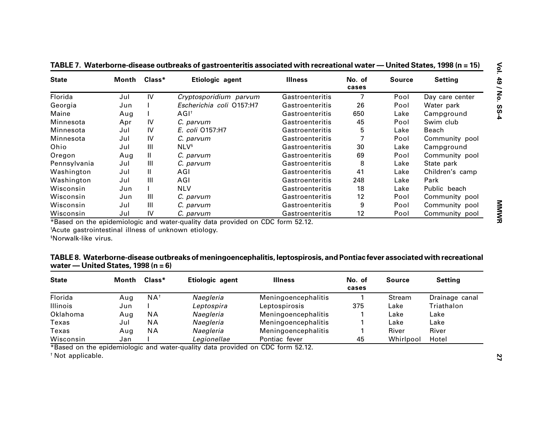| <b>State</b>                                                                                                                                                  | Month Class* |                    | Etiologic agent                                                                                                             | <b>Illness</b>      | No. of<br>cases | <b>Source</b> | <b>Setting</b>                                                   |  |
|---------------------------------------------------------------------------------------------------------------------------------------------------------------|--------------|--------------------|-----------------------------------------------------------------------------------------------------------------------------|---------------------|-----------------|---------------|------------------------------------------------------------------|--|
| Florida<br>Jul                                                                                                                                                |              | IV                 | Cryptosporidium parvum                                                                                                      | Gastroenteritis     | $\overline{7}$  | Pool          | Day care center                                                  |  |
| Georgia                                                                                                                                                       | Jun          |                    | Escherichia coli O157:H7                                                                                                    | Gastroenteritis     | 26              | Pool          | Water park                                                       |  |
| Maine                                                                                                                                                         | Aug          |                    | AGI <sup>t</sup>                                                                                                            | Gastroenteritis     | 650             | Lake          | Campground                                                       |  |
| Minnesota                                                                                                                                                     | Apr          | IV                 | C. parvum                                                                                                                   | Gastroenteritis     | 45              | Pool          | Swim club                                                        |  |
| Minnesota                                                                                                                                                     | Jul          | IV                 | E. coli 0157:H7                                                                                                             | Gastroenteritis     | 5               | Lake          | Beach                                                            |  |
| Minnesota                                                                                                                                                     | Jul          | IV                 | C. parvum                                                                                                                   | Gastroenteritis     | 7               | Pool          | Community pool                                                   |  |
| Ohio                                                                                                                                                          | Jul          | $\mathbf{III}$     | <b>NLV</b> <sup>§</sup>                                                                                                     | Gastroenteritis     | 30              | Lake          | Campground                                                       |  |
| Oregon                                                                                                                                                        | Aug          | $\mathbf{H}$       | C. parvum                                                                                                                   | Gastroenteritis     | 69              | Pool          | Community pool                                                   |  |
| Pennsylvania                                                                                                                                                  | Jul          | Ш                  | C. parvum                                                                                                                   | Gastroenteritis     | 8               | Lake          | State park                                                       |  |
| Washington                                                                                                                                                    | Jul          | $\mathbf{H}$       | AGI                                                                                                                         | Gastroenteritis     | 41              | Lake          | Children's camp                                                  |  |
| Washington                                                                                                                                                    | Jul          | Ш                  | AGI                                                                                                                         | Gastroenteritis     | 248             | Lake          | Park                                                             |  |
| Wisconsin                                                                                                                                                     | Jun          |                    | <b>NLV</b>                                                                                                                  | Gastroenteritis     | 18              | Lake          | Public beach                                                     |  |
| Wisconsin                                                                                                                                                     | Jun          | Ш                  | C. parvum                                                                                                                   | Gastroenteritis     | 12              | Pool          | Community pool                                                   |  |
|                                                                                                                                                               |              |                    |                                                                                                                             |                     |                 |               |                                                                  |  |
|                                                                                                                                                               | Jul          | $\mathbf{III}$     | C. parvum                                                                                                                   | Gastroenteritis     | 9               | Pool          |                                                                  |  |
|                                                                                                                                                               | Jul          | IV                 | C. parvum<br>*Based on the epidemiologic and water-quality data provided on CDC form 52.12.                                 | Gastroenteritis     | 12              | Pool          |                                                                  |  |
| Wisconsin<br>Wisconsin<br>*Acute gastrointestinal illness of unknown etiology.<br><sup>§</sup> Norwalk-like virus.<br>water — United States, 1998 ( $n = 6$ ) |              |                    | TABLE 8. Waterborne-disease outbreaks of meningoencephalitis, leptospirosis, and Pontiac fever associated with recreational |                     |                 |               |                                                                  |  |
|                                                                                                                                                               | Month        | $\mathsf{Class}^*$ | Etiologic agent                                                                                                             | <b>Illness</b>      | No. of<br>cases | <b>Source</b> | <b>Setting</b>                                                   |  |
|                                                                                                                                                               | Aug          | $NA^{\dagger}$     | Naegleria                                                                                                                   | Meningoencephalitis | 1               | <b>Stream</b> |                                                                  |  |
| <b>State</b><br>Florida<br><b>Illinois</b>                                                                                                                    | Jun          |                    | Leptospira                                                                                                                  | Leptospirosis       | 375             | Lake          | Community pool<br>Community pool<br>Drainage canal<br>Triathalon |  |
|                                                                                                                                                               | Aug          | <b>NA</b>          | Naegleria                                                                                                                   | Meningoencephalitis |                 | Lake          | Lake                                                             |  |
|                                                                                                                                                               | Jul          | <b>NA</b>          | Naegleria                                                                                                                   | Meningoencephalitis |                 | Lake          | Lake                                                             |  |
| Oklahoma<br>Texas<br>Texas                                                                                                                                    | Aug          | <b>NA</b>          | Naegleria                                                                                                                   | Meningoencephalitis |                 | River         | River                                                            |  |

| TABLE 8. Waterborne-disease outbreaks of meningoencephalitis, leptospirosis, and Pontiac fever associated with recreational |  |
|-----------------------------------------------------------------------------------------------------------------------------|--|
| water — United States, 1998 (n = $6$ )                                                                                      |  |

| <b>State</b>    | $Class*$<br>Month |                | Etiologic agent | <b>Illness</b>      | No. of<br>cases | Source    | <b>Setting</b> |
|-----------------|-------------------|----------------|-----------------|---------------------|-----------------|-----------|----------------|
| Florida         | Aug               | $NA^{\dagger}$ | Naegleria       | Meningoencephalitis |                 | Stream    | Drainage canal |
| <b>Illinois</b> | Jun               |                | Leptospira      | Leptospirosis       | 375             | Lake      | Triathalon     |
| Oklahoma        | Aug               | <b>NA</b>      | Naegleria       | Meningoencephalitis |                 | Lake      | Lake           |
| Texas           | Jul               | <b>NA</b>      | Naegleria       | Meningoencephalitis |                 | Lake      | Lake           |
| Texas           | Aug               | <b>NA</b>      | Naegleria       | Meningoencephalitis |                 | River     | River          |
| Wisconsin       | Jan               |                | Legionellae     | Pontiac fever       | 45              | Whirlpool | Hotel          |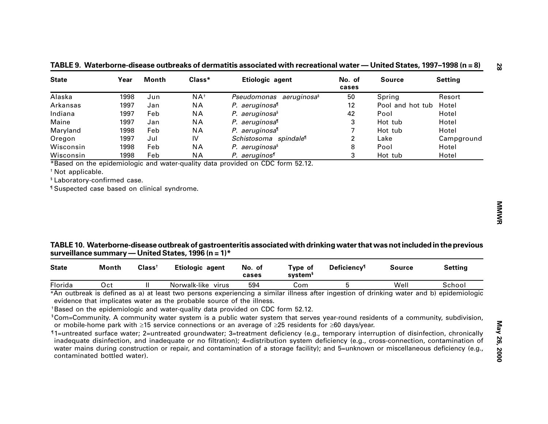| <b>State</b>                                            | Year  | <b>Month</b>       | Class*                                              | Etiologic agent                                                                                                                                        | No. of<br>cases                | <b>Source</b>    | <b>Setting</b> |
|---------------------------------------------------------|-------|--------------------|-----------------------------------------------------|--------------------------------------------------------------------------------------------------------------------------------------------------------|--------------------------------|------------------|----------------|
| Alaska                                                  | 1998  | Jun                | $NA^{\dagger}$                                      | Pseudomonas aeruginosa <sup>§</sup>                                                                                                                    | 50                             | Spring           | Resort         |
| Arkansas                                                | 1997  | Jan                | <b>NA</b>                                           | P. aeruginosa <sup>1</sup>                                                                                                                             | 12                             | Pool and hot tub | Hotel          |
| Indiana                                                 | 1997  | Feb                | <b>NA</b>                                           | P. aeruginosa <sup>§</sup>                                                                                                                             | 42                             | Pool             | Hotel          |
| Maine                                                   | 1997  | Jan                | <b>NA</b>                                           | P. aeruginosa <sup>1</sup>                                                                                                                             | 3                              | Hot tub          | Hotel          |
| Maryland                                                | 1998  | Feb                | <b>NA</b>                                           | P. aeruginosa <sup>1</sup>                                                                                                                             | 7                              | Hot tub          | Hotel          |
| Oregon                                                  | 1997  | Jul                | IV                                                  | Schistosoma spindale <sup>®</sup>                                                                                                                      | $\overline{\mathbf{c}}$        | Lake             | Campground     |
| Wisconsin                                               | 1998  | Feb                | <b>NA</b>                                           | P. aeruginosa <sup>§</sup>                                                                                                                             | 8                              | Pool             | Hotel          |
| Wisconsin                                               | 1998  | Feb                | <b>NA</b>                                           | P. aeruginos <sup>®</sup>                                                                                                                              | 3                              | Hot tub          | Hotel          |
| <sup>1</sup> Suspected case based on clinical syndrome. |       |                    |                                                     |                                                                                                                                                        |                                |                  |                |
|                                                         |       |                    | surveillance summary — United States, 1996 (n = 1)* | TABLE 10. Waterborne-disease outbreak of gastroenteritis associated with drinking water that was not included in the previous                          |                                |                  |                |
| <b>State</b>                                            | Month | Class <sup>†</sup> | Etiologic agent                                     | No. of<br>Type of<br>system <sup>§</sup><br>cases                                                                                                      | <b>Deficiency</b> <sup>1</sup> | <b>Source</b>    | <b>Setting</b> |
| Florida                                                 | Oct   | Ш                  | Norwalk-like virus                                  | 594<br>Com<br>*An outbreak is defined as a) at least two persons experiencing a similar illness after ingestion of drinking water and b) epidemiologic | 5                              | Well             | School         |

**— United States, 1997 –1998 (n = 8)**

### **TABLE 10. Waterborne-disease outbreak of gastroenteritis associated with drinking water that was not included in the previous surveillance summary — United States, 1996 (n = 1)\***

| <b>State</b> | Month | Classi | Etiologic agent       | No.<br>.ot<br>cases | Type of<br>system <sup>s</sup> | <b>Deficiency</b> <sup>1</sup> | <b>Source</b> | <b>Setting</b> |
|--------------|-------|--------|-----------------------|---------------------|--------------------------------|--------------------------------|---------------|----------------|
| Florida      | Oct   |        | Norwalk-like<br>virus | 594                 | Com                            |                                | Well          | School         |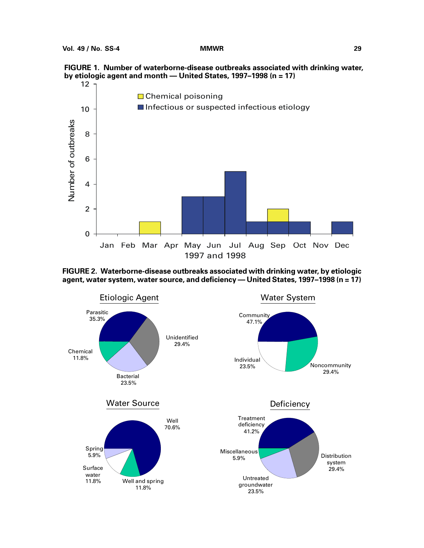



**FIGURE 2. Waterborne-disease outbreaks associated with drinking water, by etiologic agent, water system, water source, and deficiency — United States, 1997–1998 (n = 17)**

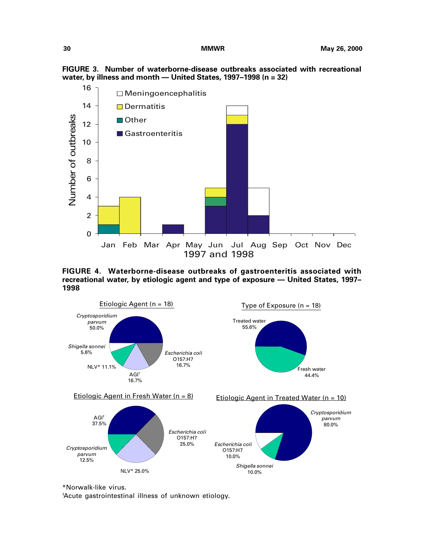



**FIGURE 4. Waterborne-disease outbreaks of gastroenteritis associated with recreational water, by etiologic agent and type of exposure — United States, 1997– 1998**



\*Norwalk-like virus.

† Acute gastrointestinal illness of unknown etiology.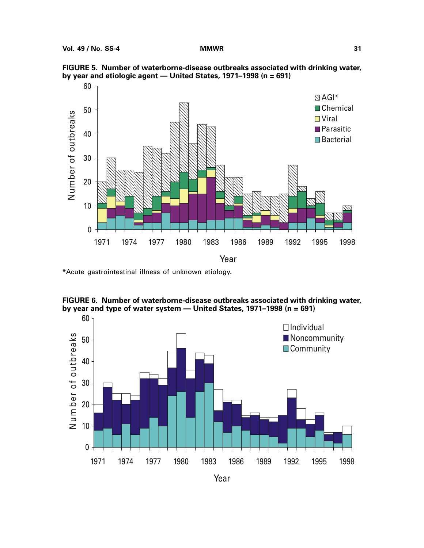

**FIGURE 5. Number of waterborne-disease outbreaks associated with drinking water, by year and etiologic agent — United States, 1971–1998 (n = 691)**

\*Acute gastrointestinal illness of unknown etiology.



**FIGURE 6. Number of waterborne-disease outbreaks associated with drinking water, by year and type of water system — United States, 1971–1998 (n = 691)**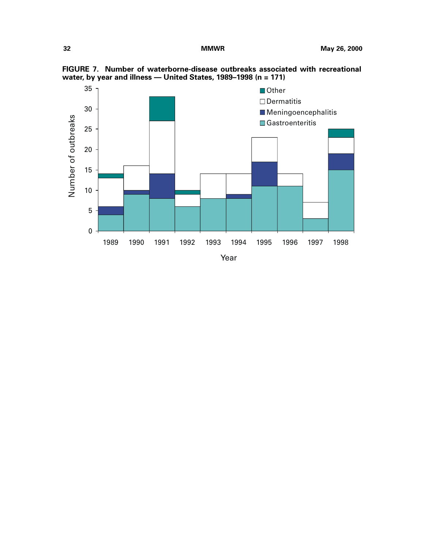

**FIGURE 7. Number of waterborne-disease outbreaks associated with recreational water, by year and illness — United States, 1989–1998 (n = 171)**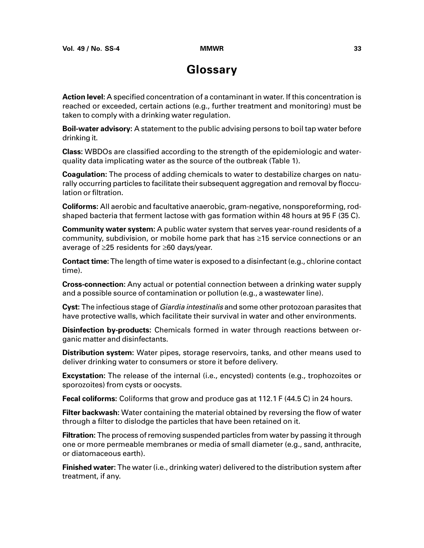## **Glossary**

**Action level:** A specified concentration of a contaminant in water. If this concentration is reached or exceeded, certain actions (e.g., further treatment and monitoring) must be taken to comply with a drinking water regulation.

**Boil-water advisory:** A statement to the public advising persons to boil tap water before drinking it.

**Class:** WBDOs are classified according to the strength of the epidemiologic and waterquality data implicating water as the source of the outbreak (Table 1).

**Coagulation:** The process of adding chemicals to water to destabilize charges on naturally occurring particles to facilitate their subsequent aggregation and removal by flocculation or filtration.

**Coliforms:** All aerobic and facultative anaerobic, gram-negative, nonsporeforming, rodshaped bacteria that ferment lactose with gas formation within 48 hours at 95 F (35 C).

**Community water system:** A public water system that serves year-round residents of a community, subdivision, or mobile home park that has  $\geq$ 15 service connections or an average of  $\geq$ 25 residents for  $\geq$ 60 days/year.

**Contact time:** The length of time water is exposed to a disinfectant (e.g., chlorine contact time).

**Cross-connection:** Any actual or potential connection between a drinking water supply and a possible source of contamination or pollution (e.g., a wastewater line).

**Cyst:** The infectious stage of Giardia intestinalis and some other protozoan parasites that have protective walls, which facilitate their survival in water and other environments.

**Disinfection by-products:** Chemicals formed in water through reactions between organic matter and disinfectants.

**Distribution system:** Water pipes, storage reservoirs, tanks, and other means used to deliver drinking water to consumers or store it before delivery.

**Excystation:** The release of the internal (i.e., encysted) contents (e.g., trophozoites or sporozoites) from cysts or oocysts.

**Fecal coliforms:** Coliforms that grow and produce gas at 112.1 F (44.5 C) in 24 hours.

**Filter backwash:** Water containing the material obtained by reversing the flow of water through a filter to dislodge the particles that have been retained on it.

**Filtration:** The process of removing suspended particles from water by passing it through one or more permeable membranes or media of small diameter (e.g., sand, anthracite, or diatomaceous earth).

**Finished water:** The water (i.e., drinking water) delivered to the distribution system after treatment, if any.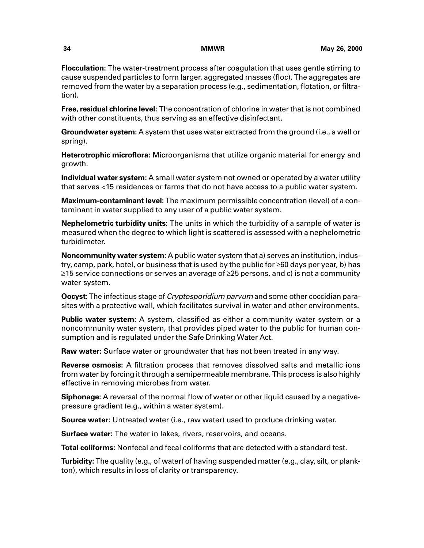**Flocculation:** The water-treatment process after coagulation that uses gentle stirring to cause suspended particles to form larger, aggregated masses (floc). The aggregates are removed from the water by a separation process (e.g., sedimentation, flotation, or filtration).

**Free, residual chlorine level:** The concentration of chlorine in water that is not combined with other constituents, thus serving as an effective disinfectant.

**Groundwater system:** A system that uses water extracted from the ground (i.e., a well or spring).

**Heterotrophic microflora:** Microorganisms that utilize organic material for energy and growth.

**Individual water system:** A small water system not owned or operated by a water utility that serves <15 residences or farms that do not have access to a public water system.

**Maximum-contaminant level:** The maximum permissible concentration (level) of a contaminant in water supplied to any user of a public water system.

**Nephelometric turbidity units:** The units in which the turbidity of a sample of water is measured when the degree to which light is scattered is assessed with a nephelometric turbidimeter.

**Noncommunity water system:** A public water system that a) serves an institution, industry, camp, park, hotel, or business that is used by the public for  $\geq 60$  days per year, b) has  $\geq$ 15 service connections or serves an average of  $\geq$ 25 persons, and c) is not a community water system.

**Oocyst:** The infectious stage of Cryptosporidium parvum and some other coccidian parasites with a protective wall, which facilitates survival in water and other environments.

**Public water system:** A system, classified as either a community water system or a noncommunity water system, that provides piped water to the public for human consumption and is regulated under the Safe Drinking Water Act.

**Raw water:** Surface water or groundwater that has not been treated in any way.

**Reverse osmosis:** A filtration process that removes dissolved salts and metallic ions from water by forcing it through a semipermeable membrane. This process is also highly effective in removing microbes from water.

**Siphonage:** A reversal of the normal flow of water or other liquid caused by a negativepressure gradient (e.g., within a water system).

**Source water:** Untreated water (i.e., raw water) used to produce drinking water.

**Surface water:** The water in lakes, rivers, reservoirs, and oceans.

**Total coliforms:** Nonfecal and fecal coliforms that are detected with a standard test.

**Turbidity:** The quality (e.g., of water) of having suspended matter (e.g., clay, silt, or plankton), which results in loss of clarity or transparency.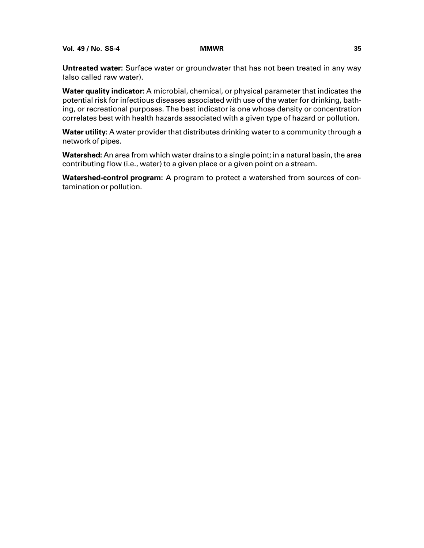**Vol. 49 / No. SS-4 MMWR 35**

**Untreated water:** Surface water or groundwater that has not been treated in any way (also called raw water).

**Water quality indicator:** A microbial, chemical, or physical parameter that indicates the potential risk for infectious diseases associated with use of the water for drinking, bathing, or recreational purposes. The best indicator is one whose density or concentration correlates best with health hazards associated with a given type of hazard or pollution.

**Water utility:** A water provider that distributes drinking water to a community through a network of pipes.

**Watershed:** An area from which water drains to a single point; in a natural basin, the area contributing flow (i.e., water) to a given place or a given point on a stream.

**Watershed-control program:** A program to protect a watershed from sources of contamination or pollution.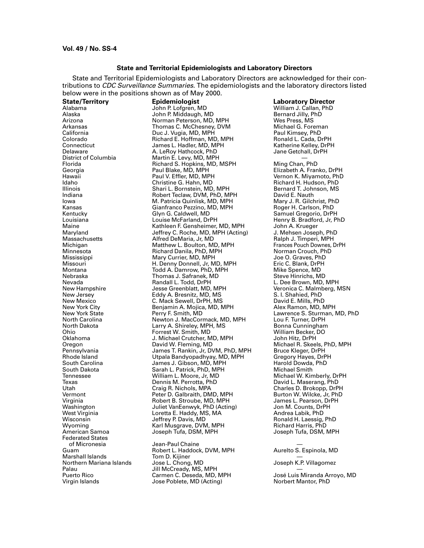#### **State and Territorial Epidemiologists and Laboratory Directors**

<span id="page-42-0"></span>State and Territorial Epidemiologists and Laboratory Directors are acknowledged for their contributions to *CDC Surveillance Summaries*. The epidemiologists and the laboratory directors listed below were in the positions shown as of May 2000.

Delaware **A. LeRoy Hathcock, PhD**<br>District of Columbia **A. Le**Roy Martin E. Levy, MD, MPH Federated States Marshall Islands Tom D. Kijiner —

Alabama John P. Lofgren, MD William J. Callan, PhD Alaska John P. Middaugh, MD Bernard Jilly, PhD Arizona Norman Peterson, MD, MPH Wes Press, MS Arkansas Thomas C. McChesney, DVM Michael G. Foreman California Duc J. Vugia, MD, MPH Paul Kimsey, PhD Colorado Richard E. Hoffman, MD, MPH Ronald L. Cada, DrPH Connecticut James L. Hadler, MD, MPH Katherine Kelley, DrPH District of Columbia Martin E. Levy, MD, MPH — Florida Richard S. Hopkins, MD, MSPH Ming Chan, PhD Georgia Paul Blake, MD, MPH Elizabeth A. Franko, DrPH Hawaii Paul V. Effler, MD, MPH Vernon K. Miyamoto, PhD Idaho Christine G. Hahn, MD Richard H. Hudson, PhD Illinois Shari L. Bornstein, MD, MPH Bernard T. Johnson, MS Indiana Robert Teclaw, DVM, PhD, MPH David E. Nauth M. Patricia Quinlisk, MD, MPH Mary J. R. Gilchrist, Ph<br>Gianfranco Pezzino, MD, MPH Roger H. Carlson, PhD Kansas Gianfranco Pezzino, MD, MPH و Gianfranco Pezzino, MD, MPH<br>Kentucky Giang Giang Giang Giang Giang Giang Alb Kentucky Glyn G. Caldwell, MD Samuel Gregorio, DrPH Louisiana Louise McFarland, DrPH Henry B. Bradford, Jr, PhD<br>
Maine Mathleen F. Gensheimer, MD, MPH John A. Krueger Maine Kathleen F. Gensheimer, MD, MPH John A. Krueger Maryland Jeffrey C. Roche, MD, MPH (Acting) J. Mehsen Joseph, PhD Massachusetts Alfred DeMaria, Jr, MD Ralph J. Timperi, MPH Michigan Matthew L. Boulton, MD, MPH Frances Pouch Downes, DrPH Minnesota Richard Danila, PhD, MPH Norman Crouch, PhD Mississippi Mary Currier, MD, MPH Joe O. Graves, PhD Missouri H. Denny Donnell, Jr, MD, MPH Eric C. Blank, DrPH Montana Todd A. Damrow, PhD, MPH Mike Spence, MD Thomas J. Safranek, MD<br>Randall L. Todd, DrPH Nevada Randall L. Todd, DrPH L. Dee Brown, MD, MPH New Hampshire Jesse Greenblatt, MD, MPH Veronica C. Malmberg, MSN New Jersey Eddy A. Bresnitz, MD, MS S. I. Shahied, PhD New Mexico C. Mack Sewell, DrPH, MS David E. Mills, PhD New York City Benjamin A. Mojica, MD, MPH<br>New York State **Ramon, Mark Ramon, MD** New York State Perry F. Smith, MD Lawrence S. Sturman, MD, PhD North Carolina Newton J. MacCormack, MD, MPH Lou F. Turner, DrPH North Dakota Larry A. Shireley, MPH, MS Bonna Cunningham Ohio Forrest W. Smith, MD William Becker, DO J. Michael Crutcher, MD, MPH<br>David W. Fleming, MD Oregon David W. Fleming, MD Michael R. Skeels, PhD, MPH Pennsylvania James T. Rankin, Jr, DVM, PhD, MPH Bruce Kleger, DrPH Rhode Island Utpala Bandyopadhyay, MD, MPH Gregory Hayes, DrPH South Carolina James J. Gibson, MD, MPH Harold Dowda, PhD South Dakota Sarah L. Patrick, PhD, MPH<br>19 - Tennessee Milliam L. Moore, Jr, MD Tennessee William L. Moore, Jr, MD Michael W. Kimberly, DrPH Texas Dennis M. Perrotta, PhD David L. Maserang, PhD Utah Craig R. Nichols, MPA Charles D. Brokopp, DrPH Vermont Peter D. Galbraith, DMD, MPH Burton W. Wilcke, Jr, PhD Virginia Christianus Robert B. Stroube, MD, MPH James L. Pearson, Dr<br>Washington M. Counts, DrPH Juliet VanEenwyk, PhD (Acting) Jon M. Counts, DrPH Washington Juliet VanEenwyk, PhD (Acting) Jon M. Counts, DrPH West Virginia Loretta E. Haddy, MS, MA Andrea Labik, PhD Wisconsin Jeffrey P. Davis, MD Ronald H. Laessig, PhD Wyoming Karl Musgrave, DVM, MPH Richard Harris, PhD Joseph Tufa, DSM, MPH

of Micronesia Jean-Paul Chaine — Robert L. Haddock, DVM, MPH<br>Tom D. Kijiner Northern Mariana Islands Jose L. Chong, MD Joseph K.P. Villagomez Palau Jill McCready, MS, MPH — Virgin Islands **No. 2018** Jose Poblete, MD (Acting) **Noting** Norbert Mantor, PhD

**State/Territory Epidemiologist Laboratory Director**

José Luis Miranda Arroyo, MD